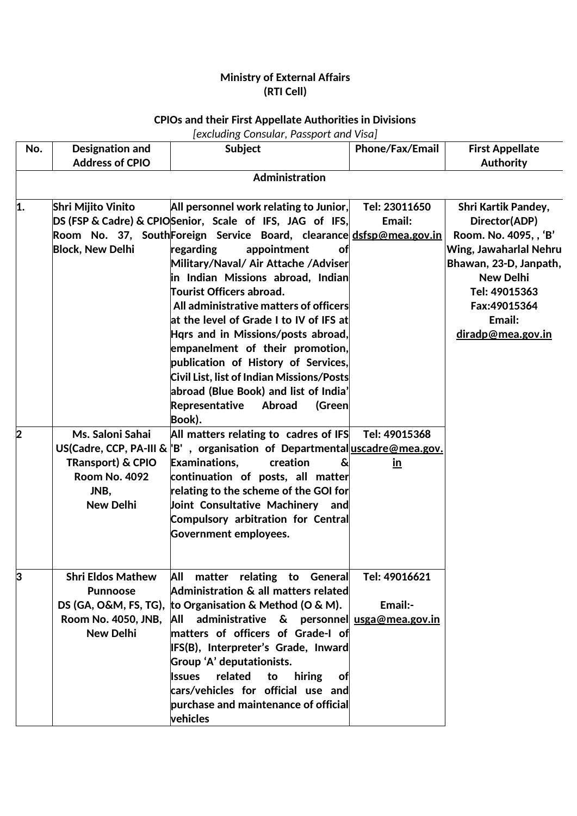## **Ministry of External Affairs (RTI Cell)**

## **CPIOs and their First Appellate Authorities in Divisions**

## *[excluding Consular, Passport and Visa]*

| No. | Designation and<br><b>Address of CPIO</b>                                                 | Subject                                                                                                                                                                                                                                                                                                                                                                                                                                                                                                                                                                                                                                                                        | <b>Phone/Fax/Email</b>     | <b>First Appellate</b><br><b>Authority</b>                                                                                                                                                                   |
|-----|-------------------------------------------------------------------------------------------|--------------------------------------------------------------------------------------------------------------------------------------------------------------------------------------------------------------------------------------------------------------------------------------------------------------------------------------------------------------------------------------------------------------------------------------------------------------------------------------------------------------------------------------------------------------------------------------------------------------------------------------------------------------------------------|----------------------------|--------------------------------------------------------------------------------------------------------------------------------------------------------------------------------------------------------------|
|     |                                                                                           | <b>Administration</b>                                                                                                                                                                                                                                                                                                                                                                                                                                                                                                                                                                                                                                                          |                            |                                                                                                                                                                                                              |
| 1.  | <b>Shri Mijito Vinito</b><br><b>Block, New Delhi</b>                                      | All personnel work relating to Junior,<br>DS (FSP & Cadre) & CPIOSenior, Scale of IFS, JAG of IFS,<br>Room No. 37, South Foreign Service Board, clearance dsfsp@mea.gov.in<br>regarding<br>appointment<br>оf<br>Military/Naval/ Air Attache /Adviser<br>in Indian Missions abroad, Indian<br><b>Tourist Officers abroad.</b><br>All administrative matters of officers<br>at the level of Grade I to IV of IFS at<br>Hars and in Missions/posts abroad,<br>empanelment of their promotion,<br>publication of History of Services,<br>Civil List, list of Indian Missions/Posts<br>abroad (Blue Book) and list of India'<br>Representative<br><b>Abroad</b><br>(Green<br>Book). | Tel: 23011650<br>Email:    | <b>Shri Kartik Pandey,</b><br>Director(ADP)<br>Room. No. 4095, , 'B'<br>Wing, Jawaharlal Nehru<br>Bhawan, 23-D, Janpath,<br><b>New Delhi</b><br>Tel: 49015363<br>Fax:49015364<br>Email:<br>diradp@mea.gov.in |
| 2   | Ms. Saloni Sahai<br>TRansport) & CPIO<br><b>Room No. 4092</b><br>JNB,<br><b>New Delhi</b> | All matters relating to cadres of IFS<br>US(Cadre, CCP, PA-III & <sup> </sup> B', organisation of Departmental <u>uscadre@mea.gov.</u><br>Examinations,<br>creation<br>continuation of posts, all matter<br>relating to the scheme of the GOI for<br>Joint Consultative Machinery<br>and<br>Compulsory arbitration for Central<br><b>Government employees.</b>                                                                                                                                                                                                                                                                                                                 | Tel: 49015368<br><u>in</u> |                                                                                                                                                                                                              |
| ŀ۹  | <b>Shri Eldos Mathew</b><br><b>Punnoose</b><br>Room No. 4050, JNB,<br><b>New Delhi</b>    | All matter relating to General<br>Administration & all matters related<br>DS (GA, O&M, FS, TG), to Organisation & Method (O & M).<br>All administrative $\&$ personnel usga@mea.gov.in<br>matters of officers of Grade-I of<br>IFS(B), Interpreter's Grade, Inward<br>Group 'A' deputationists.<br>related<br><b>Issues</b><br>to<br>hiring<br>ofl<br>cars/vehicles for official use and<br>purchase and maintenance of official<br>vehicles                                                                                                                                                                                                                                   | Tel: 49016621<br>Email:-   |                                                                                                                                                                                                              |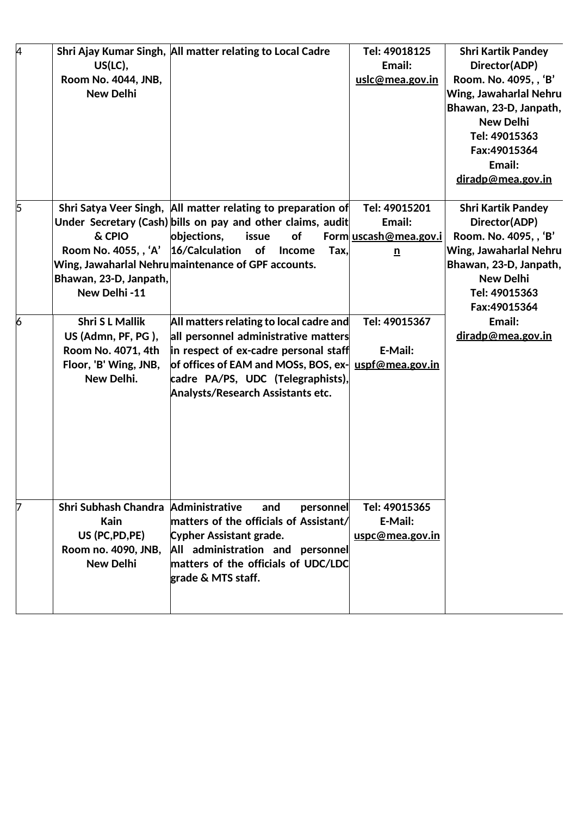| 4              |   | $US(LC)$ ,<br>Room No. 4044, JNB,<br><b>New Delhi</b>                                                            | Shri Ajay Kumar Singh, All matter relating to Local Cadre                                                                                                                                                                                           | Tel: 49018125<br>Email:<br>uslc@mea.gov.in                          | <b>Shri Kartik Pandey</b><br>Director(ADP)<br>Room. No. 4095, , 'B'<br>Wing, Jawaharlal Nehru<br>Bhawan, 23-D, Janpath,<br><b>New Delhi</b><br>Tel: 49015363<br>Fax:49015364<br>Email:<br>diradp@mea.gov.in |
|----------------|---|------------------------------------------------------------------------------------------------------------------|-----------------------------------------------------------------------------------------------------------------------------------------------------------------------------------------------------------------------------------------------------|---------------------------------------------------------------------|-------------------------------------------------------------------------------------------------------------------------------------------------------------------------------------------------------------|
|                | 5 | & CPIO<br>Room No. 4055, , 'A'<br>Bhawan, 23-D, Janpath,<br>New Delhi-11                                         | Shri Satya Veer Singh, All matter relating to preparation of<br>Under Secretary (Cash) bills on pay and other claims, audit<br>objections,<br>issue<br>of<br>16/Calculation of Income<br>Tax,<br>Wing, Jawaharlal Nehrumaintenance of GPF accounts. | Tel: 49015201<br>Email:<br>Form uscash@mea.gov.i<br>$\underline{n}$ | <b>Shri Kartik Pandey</b><br>Director(ADP)<br>Room. No. 4095, , 'B'<br>Wing, Jawaharlal Nehru<br>Bhawan, 23-D, Janpath,<br><b>New Delhi</b><br>Tel: 49015363<br>Fax: 49015364                               |
| $\overline{6}$ |   | <b>Shri SL Mallik</b><br>US (Admn, PF, PG),<br>Room No. 4071, 4th<br>Floor, 'B' Wing, JNB,<br>New Delhi.         | All matters relating to local cadre and<br>all personnel administrative matters<br>in respect of ex-cadre personal staff<br>of offices of EAM and MOSs, BOS, ex-<br>cadre PA/PS, UDC (Telegraphists),<br><b>Analysts/Research Assistants etc.</b>   | Tel: 49015367<br>E-Mail:<br>uspf@mea.gov.in                         | Email:<br>diradp@mea.gov.in                                                                                                                                                                                 |
|                |   | Shri Subhash Chandra Administrative<br><b>Kain</b><br>US (PC, PD, PE)<br>Room no. 4090, JNB,<br><b>New Delhi</b> | and<br>personnel<br>matters of the officials of Assistant/<br><b>Cypher Assistant grade.</b><br>All administration and personnel<br>matters of the officials of UDC/LDC<br>grade & MTS staff.                                                       | Tel: 49015365<br>E-Mail:<br>uspc@mea.gov.in                         |                                                                                                                                                                                                             |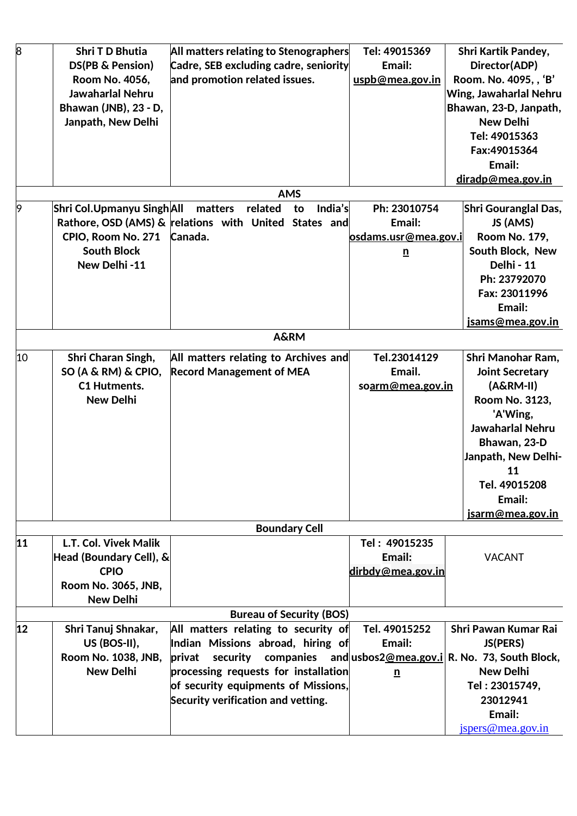| $\overline{8}$ | Shri T D Bhutia           | All matters relating to Stenographers                                      | Tel: 49015369               | <b>Shri Kartik Pandey,</b> |
|----------------|---------------------------|----------------------------------------------------------------------------|-----------------------------|----------------------------|
|                | DS(PB & Pension)          | Cadre, SEB excluding cadre, seniority                                      | Email:                      | Director(ADP)              |
|                | Room No. 4056,            | and promotion related issues.                                              | uspb@mea.gov.in             | Room. No. 4095, , 'B'      |
|                | Jawaharlal Nehru          |                                                                            |                             | Wing, Jawaharlal Nehru     |
|                | Bhawan (JNB), 23 - D,     |                                                                            |                             | Bhawan, 23-D, Janpath,     |
|                | Janpath, New Delhi        |                                                                            |                             | <b>New Delhi</b>           |
|                |                           |                                                                            |                             | Tel: 49015363              |
|                |                           |                                                                            |                             | Fax:49015364               |
|                |                           |                                                                            |                             | Email:                     |
|                |                           |                                                                            |                             | diradp@mea.gov.in          |
|                |                           | <b>AMS</b>                                                                 |                             |                            |
| 9              | Shri Col.Upmanyu SinghAll | related<br>India's<br>matters<br>to                                        | Ph: 23010754                | Shri Gouranglal Das,       |
|                |                           | Rathore, OSD (AMS) & relations with United States and                      | Email:                      | JS (AMS)                   |
|                | CPIO, Room No. 271        | Canada.                                                                    |                             |                            |
|                |                           |                                                                            | <u>osdams.usr@mea.gov.i</u> | <b>Room No. 179,</b>       |
|                | <b>South Block</b>        |                                                                            | $\underline{\mathbf{n}}$    | South Block, New           |
|                | New Delhi-11              |                                                                            |                             | Delhi - 11                 |
|                |                           |                                                                            |                             | Ph: 23792070               |
|                |                           |                                                                            |                             | Fax: 23011996              |
|                |                           |                                                                            |                             | Email:                     |
|                |                           |                                                                            |                             | <u>isams@mea.gov.in</u>    |
|                |                           | <b>A&amp;RM</b>                                                            |                             |                            |
| 10             | Shri Charan Singh,        | All matters relating to Archives and                                       | Tel.23014129                | Shri Manohar Ram,          |
|                | $SO(A & RM)$ & CPIO,      | <b>Record Management of MEA</b>                                            | Email.                      | <b>Joint Secretary</b>     |
|                | <b>C1 Hutments.</b>       |                                                                            | soarm@mea.gov.in            | $(A&RM-II)$                |
|                | <b>New Delhi</b>          |                                                                            |                             | Room No. 3123,             |
|                |                           |                                                                            |                             | 'A'Wing,                   |
|                |                           |                                                                            |                             | Jawaharlal Nehru           |
|                |                           |                                                                            |                             | Bhawan, 23-D               |
|                |                           |                                                                            |                             | Janpath, New Delhi-        |
|                |                           |                                                                            |                             | 11                         |
|                |                           |                                                                            |                             | Tel. 49015208              |
|                |                           |                                                                            |                             | Email:                     |
|                |                           |                                                                            |                             | jsarm@mea.gov.in           |
|                |                           | <b>Boundary Cell</b>                                                       |                             |                            |
| 11             | L.T. Col. Vivek Malik     |                                                                            | Tel: 49015235               |                            |
|                | Head (Boundary Cell), &   |                                                                            | Email:                      | <b>VACANT</b>              |
|                | <b>CPIO</b>               |                                                                            | dirbdy@mea.gov.in           |                            |
|                | Room No. 3065, JNB,       |                                                                            |                             |                            |
|                | <b>New Delhi</b>          |                                                                            |                             |                            |
|                |                           | <b>Bureau of Security (BOS)</b>                                            |                             |                            |
| 12             | Shri Tanuj Shnakar,       | All matters relating to security of                                        | Tel. 49015252               | Shri Pawan Kumar Rai       |
|                | US (BOS-II),              | Indian Missions abroad, hiring of                                          | Email:                      | JS(PERS)                   |
|                | Room No. 1038, JNB,       | security companies and usbos 2@mea.gov.i R. No. 73, South Block,<br>privat |                             |                            |
|                | <b>New Delhi</b>          | processing requests for installation                                       |                             | <b>New Delhi</b>           |
|                |                           | of security equipments of Missions,                                        | $\mathbf{n}$                | Tel: 23015749,             |
|                |                           | Security verification and vetting.                                         |                             | 23012941                   |
|                |                           |                                                                            |                             | Email:                     |
|                |                           |                                                                            |                             | jspers@mea.gov.in          |
|                |                           |                                                                            |                             |                            |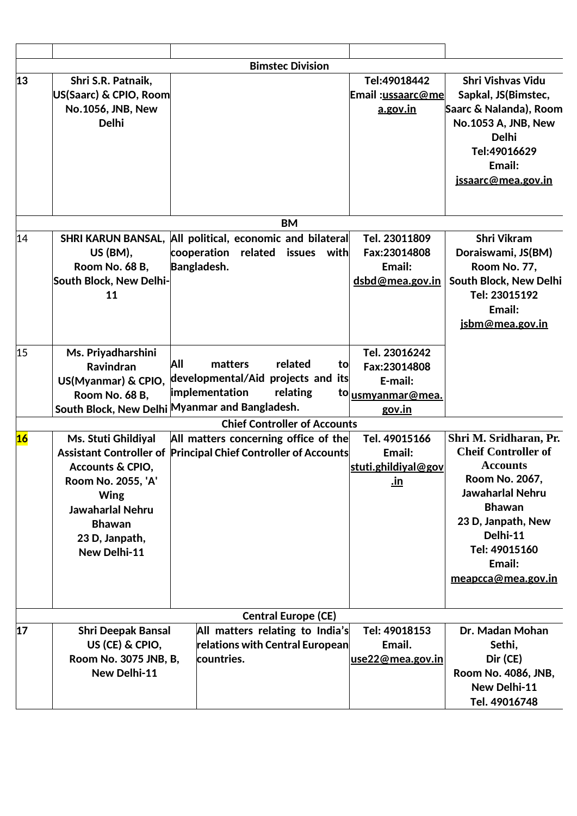|    |                                                                                                                                                                                                                       |     |                                   |                                                                    | <b>Bimstec Division</b>    |          |                                                                      |                                                                                                                                                                                                                                 |
|----|-----------------------------------------------------------------------------------------------------------------------------------------------------------------------------------------------------------------------|-----|-----------------------------------|--------------------------------------------------------------------|----------------------------|----------|----------------------------------------------------------------------|---------------------------------------------------------------------------------------------------------------------------------------------------------------------------------------------------------------------------------|
| 13 | Shri S.R. Patnaik,<br>US(Saarc) & CPIO, Room<br>No.1056, JNB, New<br><b>Delhi</b>                                                                                                                                     |     |                                   |                                                                    |                            |          | Tel:49018442<br>Email:ussaarc@me<br>a.gov.in                         | <b>Shri Vishvas Vidu</b><br>Sapkal, JS(Bimstec,<br>Saarc & Nalanda), Room<br>No.1053 A, JNB, New<br><b>Delhi</b><br>Tel:49016629<br>Email:<br>jssaarc@mea.gov.in                                                                |
|    |                                                                                                                                                                                                                       |     |                                   |                                                                    | <b>BM</b>                  |          |                                                                      |                                                                                                                                                                                                                                 |
| 14 | <b>SHRI KARUN BANSAL,</b><br><b>US (BM),</b><br>Room No. 68 B,<br>South Block, New Delhi-<br>11                                                                                                                       |     | cooperation<br><b>Bangladesh.</b> | All political, economic and bilateral<br>related                   | issues                     | with     | Tel. 23011809<br>Fax:23014808<br>Email:<br>dsbd@mea.gov.in           | Shri Vikram<br>Doraiswami, JS(BM)<br>Room No. 77,<br>South Block, New Delhi<br>Tel: 23015192<br>Email:<br>jsbm@mea.gov.in                                                                                                       |
| 15 | Ms. Priyadharshini<br><b>Ravindran</b><br>US(Myanmar) & CPIO,<br>Room No. 68 B,<br>South Block, New Delhi Myanmar and Bangladesh.                                                                                     | All | matters<br>implementation         | developmental/Aid projects and its                                 | related<br>relating        | to<br>to | Tel. 23016242<br>Fax:23014808<br>E-mail:<br>usmyanmar@mea.<br>gov.in |                                                                                                                                                                                                                                 |
|    |                                                                                                                                                                                                                       |     |                                   | <b>Chief Controller of Accounts</b>                                |                            |          |                                                                      |                                                                                                                                                                                                                                 |
| 16 | Ms. Stuti Ghildiyal<br>Assistant Controller of Principal Chief Controller of Accounts<br>Accounts & CPIO,<br>Room No. 2055, 'A'<br>Wing<br><b>Jawaharlal Nehru</b><br><b>Bhawan</b><br>23 D, Janpath,<br>New Delhi-11 |     |                                   | All matters concerning office of the                               |                            |          | Tel. 49015166<br>Email:<br>stuti.ghildiyal@gov<br><u>.ın</u>         | Shri M. Sridharan, Pr.<br><b>Cheif Controller of</b><br><b>Accounts</b><br>Room No. 2067,<br><b>Jawaharlal Nehru</b><br><b>Bhawan</b><br>23 D, Janpath, New<br>Delhi-11<br>Tel: 49015160<br>Email:<br><u>meapcca@mea.gov.in</u> |
|    |                                                                                                                                                                                                                       |     |                                   |                                                                    | <b>Central Europe (CE)</b> |          |                                                                      |                                                                                                                                                                                                                                 |
| 17 | <b>Shri Deepak Bansal</b><br>US (CE) & CPIO,<br>Room No. 3075 JNB, B,<br>New Delhi-11                                                                                                                                 |     | countries.                        | All matters relating to India's<br>relations with Central European |                            |          | Tel: 49018153<br>Email.<br><u>use22@mea.gov.in</u>                   | Dr. Madan Mohan<br>Sethi,<br>Dir (CE)<br>Room No. 4086, JNB,<br>New Delhi-11<br>Tel. 49016748                                                                                                                                   |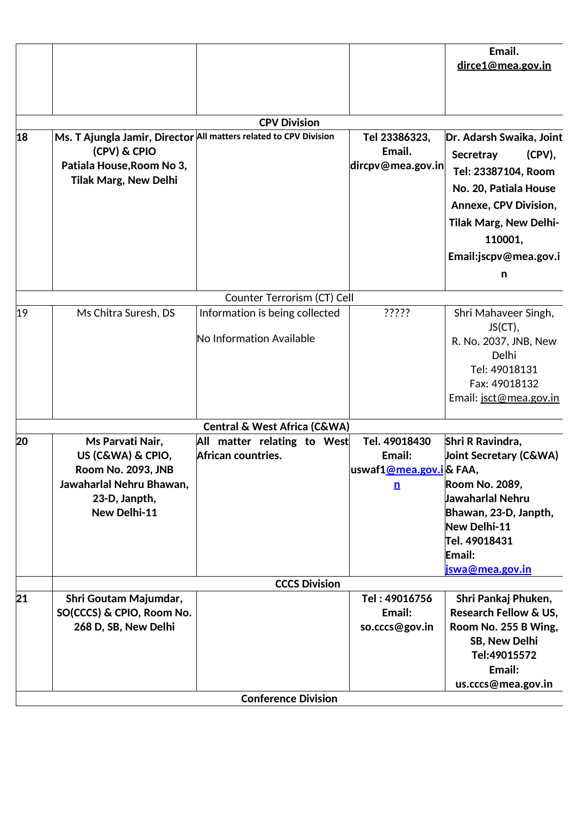|    |                                                                                                                                 |                                                                   |                                                                               | Email.<br>dirce1@mea.gov.in                                                                                                                                                                                  |
|----|---------------------------------------------------------------------------------------------------------------------------------|-------------------------------------------------------------------|-------------------------------------------------------------------------------|--------------------------------------------------------------------------------------------------------------------------------------------------------------------------------------------------------------|
|    |                                                                                                                                 | <b>CPV Division</b>                                               |                                                                               |                                                                                                                                                                                                              |
|    |                                                                                                                                 |                                                                   |                                                                               |                                                                                                                                                                                                              |
| 18 | (CPV) & CPIO<br>Patiala House, Room No 3,<br><b>Tilak Marg, New Delhi</b>                                                       | Ms. T Ajungla Jamir, Director All matters related to CPV Division | Tel 23386323,<br>Email.<br>dircpv@mea.gov.in                                  | Dr. Adarsh Swaika, Joint<br>Secretray<br>$(CPV)$ ,<br>Tel: 23387104, Room<br>No. 20, Patiala House<br><b>Annexe, CPV Division,</b><br><b>Tilak Marg, New Delhi-</b><br>110001,<br>Email:jscpv@mea.gov.i<br>n |
|    |                                                                                                                                 |                                                                   |                                                                               |                                                                                                                                                                                                              |
|    |                                                                                                                                 | Counter Terrorism (CT) Cell                                       |                                                                               |                                                                                                                                                                                                              |
| 19 | Ms Chitra Suresh, DS                                                                                                            | Information is being collected<br>No Information Available        | ?????                                                                         | Shri Mahaveer Singh,<br>JS(CT),<br>R. No. 2037, JNB, New<br>Delhi<br>Tel: 49018131<br>Fax: 49018132<br>Email: jsct@mea.gov.in                                                                                |
|    |                                                                                                                                 | <b>Central &amp; West Africa (C&amp;WA)</b>                       |                                                                               |                                                                                                                                                                                                              |
| 20 | Ms Parvati Nair,<br>US (C&WA) & CPIO,<br><b>Room No. 2093, JNB</b><br>Jawaharlal Nehru Bhawan,<br>23-D, Janpth,<br>New Delhi-11 | All matter relating to West<br>African countries.                 | Tel. 49018430<br>Email:<br>uswaf1@mea.gov.i& FAA,<br>$\underline{\mathbf{n}}$ | Shri R Ravindra,<br><b>Joint Secretary (C&amp;WA)</b><br>Room No. 2089,<br>Jawaharlal Nehru<br>Bhawan, 23-D, Janpth,<br>New Delhi-11<br>Tel. 49018431<br>Email:<br>jswa@mea.gov.in                           |
|    |                                                                                                                                 | <b>CCCS Division</b>                                              |                                                                               |                                                                                                                                                                                                              |
| 21 | Shri Goutam Majumdar,<br>SO(CCCS) & CPIO, Room No.<br>268 D, SB, New Delhi                                                      |                                                                   | Tel: 49016756<br>Email:<br>so.cccs@gov.in                                     | Shri Pankaj Phuken,<br>Research Fellow & US,<br>Room No. 255 B Wing,<br>SB, New Delhi<br>Tel:49015572<br>Email:<br>us.cccs@mea.gov.in                                                                        |
|    |                                                                                                                                 | <b>Conference Division</b>                                        |                                                                               |                                                                                                                                                                                                              |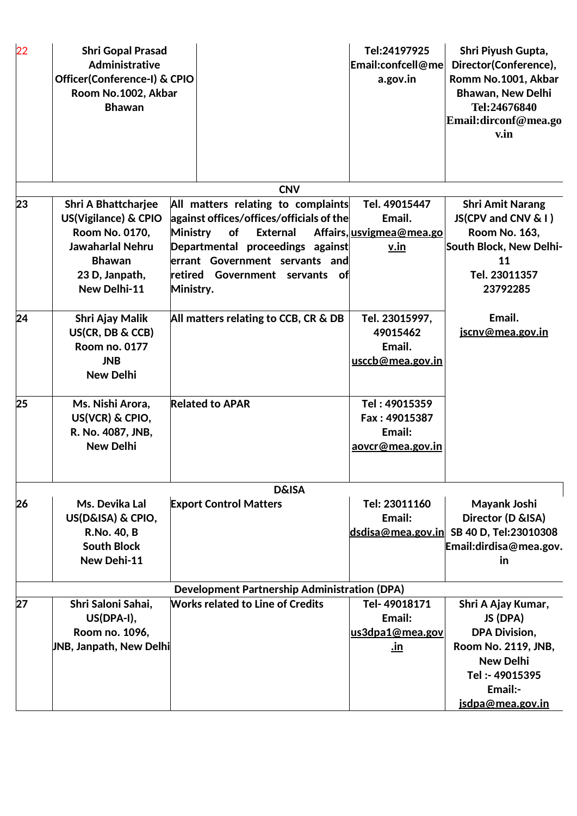| 22 | <b>Shri Gopal Prasad</b><br><b>Administrative</b><br>Officer(Conference-I) & CPIO<br>Room No.1002, Akbar<br><b>Bhawan</b>                          |                              |                                                                                                                                                                                                                 | Tel:24197925<br>Email:confcell@me<br>a.gov.in                       | Shri Piyush Gupta,<br>Director(Conference),<br>Romm No.1001, Akbar<br>Bhawan, New Delhi<br>Tel:24676840<br>Email:dirconf@mea.go<br>v.in             |
|----|----------------------------------------------------------------------------------------------------------------------------------------------------|------------------------------|-----------------------------------------------------------------------------------------------------------------------------------------------------------------------------------------------------------------|---------------------------------------------------------------------|-----------------------------------------------------------------------------------------------------------------------------------------------------|
|    |                                                                                                                                                    |                              | <b>CNV</b>                                                                                                                                                                                                      |                                                                     |                                                                                                                                                     |
| 23 | <b>Shri A Bhattcharjee</b><br>US(Vigilance) & CPIO<br>Room No. 0170,<br><b>Jawaharlal Nehru</b><br><b>Bhawan</b><br>23 D, Janpath,<br>New Delhi-11 | <b>Ministry</b><br>Ministry. | All matters relating to complaints<br>against offices/offices/officials of the<br>of<br><b>External</b><br>Departmental proceedings against<br>errant Government servants and<br>retired Government servants of | Tel. 49015447<br>Email.<br>Affairs, usvigmea@mea.go<br><u>v.in</u>  | <b>Shri Amit Narang</b><br>JS(CPV and CNV & I)<br><b>Room No. 163,</b><br>South Block, New Delhi-<br>11<br>Tel. 23011357<br>23792285                |
| 24 | Shri Ajay Malik<br>US(CR, DB & CCB)<br><b>Room no. 0177</b><br><b>JNB</b><br><b>New Delhi</b>                                                      |                              | All matters relating to CCB, CR & DB                                                                                                                                                                            | Tel. 23015997,<br>49015462<br>Email.<br><u>usccb@mea.gov.in</u>     | Email.<br><u>jscnv@mea.gov.in</u>                                                                                                                   |
| 25 | Ms. Nishi Arora,<br>US(VCR) & CPIO,<br>R. No. 4087, JNB,<br><b>New Delhi</b>                                                                       |                              | <b>Related to APAR</b>                                                                                                                                                                                          | Tel: 49015359<br>Fax: 49015387<br>Email:<br><u>aovcr@mea.gov.in</u> |                                                                                                                                                     |
|    |                                                                                                                                                    |                              | <b>D&amp;ISA</b>                                                                                                                                                                                                |                                                                     |                                                                                                                                                     |
| 26 | Ms. Devika Lal<br>US(D&ISA) & CPIO,<br>R.No. 40, B<br><b>South Block</b><br>New Dehi-11                                                            |                              | <b>Export Control Matters</b>                                                                                                                                                                                   | Tel: 23011160<br>Email:                                             | Mayank Joshi<br>Director (D & ISA)<br>$dsdisa@mea.gov.in$ SB 40 D, Tel:23010308<br>Email: dirdisa@mea.gov.<br>in                                    |
|    |                                                                                                                                                    |                              | <b>Development Partnership Administration (DPA)</b>                                                                                                                                                             |                                                                     |                                                                                                                                                     |
| 27 | Shri Saloni Sahai,<br>US(DPA-I),<br>Room no. 1096,<br>UNB, Janpath, New Delhi                                                                      |                              | <b>Works related to Line of Credits</b>                                                                                                                                                                         | Tel-49018171<br>Email:<br>us3dpa1@mea.gov<br><u>in</u>              | Shri A Ajay Kumar,<br>JS (DPA)<br><b>DPA Division,</b><br>Room No. 2119, JNB,<br><b>New Delhi</b><br>Tel: - 49015395<br>Email:-<br>jsdpa@mea.gov.in |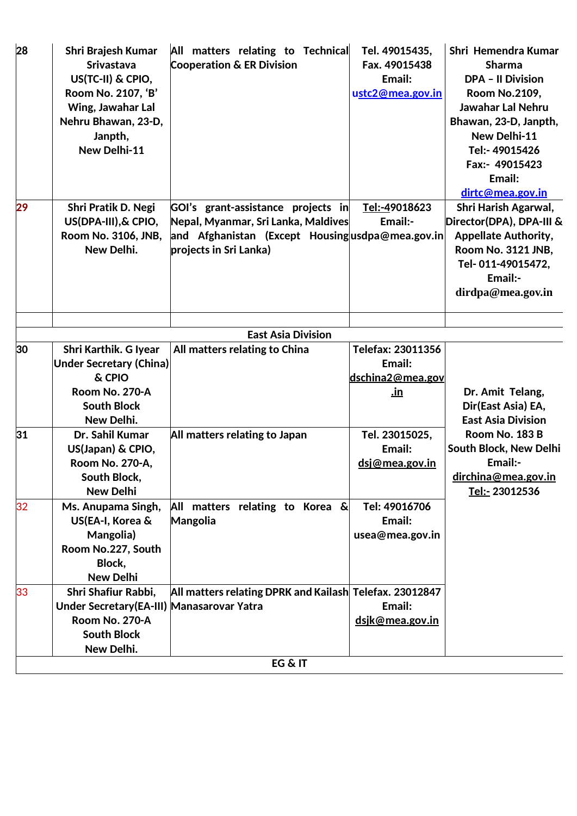| 28 | Shri Brajesh Kumar<br><b>Srivastava</b><br>US(TC-II) & CPIO,<br>Room No. 2107, 'B'<br>Wing, Jawahar Lal<br>Nehru Bhawan, 23-D,<br>Janpth,<br>New Delhi-11 | All matters relating to Technical<br><b>Cooperation &amp; ER Division</b>                                                                              | Tel. 49015435,<br>Fax. 49015438<br>Email:<br>ustc2@mea.gov.in             | Shri Hemendra Kumar<br><b>Sharma</b><br><b>DPA - Il Division</b><br><b>Room No.2109,</b><br><b>Jawahar Lal Nehru</b><br>Bhawan, 23-D, Janpth,<br>New Delhi-11<br>Tel:- 49015426<br>Fax:- 49015423<br>Email:<br>dirtc@mea.gov.in |
|----|-----------------------------------------------------------------------------------------------------------------------------------------------------------|--------------------------------------------------------------------------------------------------------------------------------------------------------|---------------------------------------------------------------------------|---------------------------------------------------------------------------------------------------------------------------------------------------------------------------------------------------------------------------------|
| 29 | Shri Pratik D. Negi<br>US(DPA-III), & CPIO,<br>Room No. 3106, JNB,<br>New Delhi.                                                                          | GOI's grant-assistance projects in<br>Nepal, Myanmar, Sri Lanka, Maldives<br>and Afghanistan (Except Housingusdpa@mea.gov.in<br>projects in Sri Lanka) | Tel:-49018623<br>Email:-                                                  | Shri Harish Agarwal,<br>Director(DPA), DPA-III &<br><b>Appellate Authority,</b><br>Room No. 3121 JNB,<br>Tel-011-49015472,<br>Email:-<br>dirdpa@mea.gov.in                                                                      |
|    |                                                                                                                                                           | <b>East Asia Division</b>                                                                                                                              |                                                                           |                                                                                                                                                                                                                                 |
| 30 | Shri Karthik. G Iyear<br><b>Under Secretary (China)</b><br>& CPIO<br><b>Room No. 270-A</b><br><b>South Block</b><br>New Delhi.                            | All matters relating to China                                                                                                                          | Telefax: 23011356<br>Email:<br>dschina <sub>2@mea.gov</sub><br><u>.in</u> | Dr. Amit Telang,<br>Dir(East Asia) EA,<br><b>East Asia Division</b>                                                                                                                                                             |
| 31 | Dr. Sahil Kumar<br>US(Japan) & CPIO,<br>Room No. 270-A,<br>South Block,<br><b>New Delhi</b>                                                               | All matters relating to Japan                                                                                                                          | Tel. 23015025,<br>Email:<br>dsj@mea.gov.in                                | Room No. 183 B<br>South Block, New Delhi<br>Email:-<br>dirchina@mea.gov.in<br>Tel:- 23012536                                                                                                                                    |
| 32 | Ms. Anupama Singh,<br>US(EA-I, Korea &<br>Mangolia)<br>Room No.227, South<br>Block,<br><b>New Delhi</b>                                                   | All matters relating to Korea &<br><b>Mangolia</b>                                                                                                     | Tel: 49016706<br>Email:<br>usea@mea.gov.in                                |                                                                                                                                                                                                                                 |
| 33 | Shri Shafiur Rabbi,<br>Under Secretary (EA-III) Manasarovar Yatra<br><b>Room No. 270-A</b><br><b>South Block</b><br>New Delhi.                            | All matters relating DPRK and Kailash Telefax. 23012847                                                                                                | Email:<br>dsjk@mea.gov.in                                                 |                                                                                                                                                                                                                                 |
|    |                                                                                                                                                           | EG & IT                                                                                                                                                |                                                                           |                                                                                                                                                                                                                                 |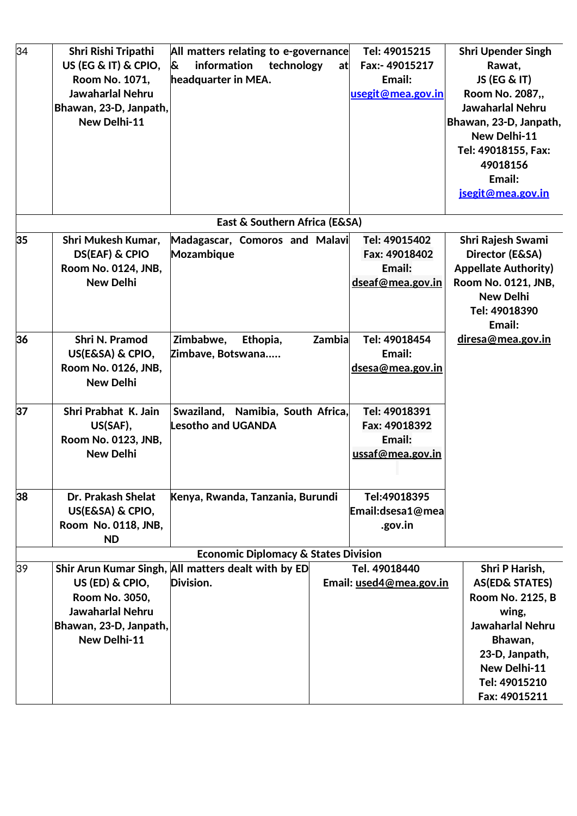| 34 | Shri Rishi Tripathi                       | All matters relating to e-governance                             |        | Tel: 49015215                            | <b>Shri Upender Singh</b>        |
|----|-------------------------------------------|------------------------------------------------------------------|--------|------------------------------------------|----------------------------------|
|    | US (EG & IT) & CPIO,                      | &<br>information<br>technology                                   | at     | Fax:- 49015217                           | Rawat,                           |
|    | Room No. 1071,                            | headquarter in MEA.                                              |        | Email:                                   | JS (EG & IT)                     |
|    | Jawaharlal Nehru                          |                                                                  |        | usegit@mea.gov.in                        | Room No. 2087,,                  |
|    | Bhawan, 23-D, Janpath,                    |                                                                  |        |                                          | Jawaharlal Nehru                 |
|    | New Delhi-11                              |                                                                  |        |                                          | Bhawan, 23-D, Janpath,           |
|    |                                           |                                                                  |        |                                          | New Delhi-11                     |
|    |                                           |                                                                  |        |                                          | Tel: 49018155, Fax:              |
|    |                                           |                                                                  |        |                                          | 49018156                         |
|    |                                           |                                                                  |        |                                          | Email:                           |
|    |                                           |                                                                  |        |                                          | jsegit@mea.gov.in                |
|    |                                           |                                                                  |        |                                          |                                  |
|    |                                           | East & Southern Africa (E&SA)                                    |        |                                          |                                  |
| 35 | Shri Mukesh Kumar,                        | Madagascar, Comoros and Malavi                                   |        | Tel: 49015402                            | Shri Rajesh Swami                |
|    | <b>DS(EAF) &amp; CPIO</b>                 | Mozambique                                                       |        | Fax: 49018402                            | Director (E&SA)                  |
|    | Room No. 0124, JNB,                       |                                                                  |        | Email:                                   | <b>Appellate Authority)</b>      |
|    | <b>New Delhi</b>                          |                                                                  |        | dseaf@mea.gov.in                         | Room No. 0121, JNB,              |
|    |                                           |                                                                  |        |                                          | <b>New Delhi</b>                 |
|    |                                           |                                                                  |        |                                          | Tel: 49018390                    |
|    |                                           |                                                                  |        |                                          | Email:                           |
| 36 | <b>Shri N. Pramod</b>                     | Zimbabwe,<br>Ethopia,                                            | Zambia | Tel: 49018454                            | <u>diresa@mea.gov.in</u>         |
|    | US(E&SA) & CPIO,                          | Zimbave, Botswana                                                |        | Email:                                   |                                  |
|    | Room No. 0126, JNB,                       |                                                                  |        | dsesa@mea.gov.in                         |                                  |
|    | <b>New Delhi</b>                          |                                                                  |        |                                          |                                  |
| 37 | Shri Prabhat K. Jain                      | Swaziland, Namibia, South Africa,                                |        | Tel: 49018391                            |                                  |
|    | US(SAF),                                  | <b>Lesotho and UGANDA</b>                                        |        | Fax: 49018392                            |                                  |
|    | Room No. 0123, JNB,                       |                                                                  |        | Email:                                   |                                  |
|    | <b>New Delhi</b>                          |                                                                  |        | ussaf@mea.gov.in                         |                                  |
|    |                                           |                                                                  |        |                                          |                                  |
|    |                                           |                                                                  |        |                                          |                                  |
| 38 | Dr. Prakash Shelat                        | Kenya, Rwanda, Tanzania, Burundi                                 |        | Tel:49018395                             |                                  |
|    | US(E&SA) & CPIO,                          |                                                                  |        | Email:dsesa1@mea                         |                                  |
|    | Room No. 0118, JNB,                       |                                                                  |        | .gov.in                                  |                                  |
|    | <b>ND</b>                                 |                                                                  |        |                                          |                                  |
|    |                                           | <b>Economic Diplomacy &amp; States Division</b>                  |        |                                          |                                  |
| 39 |                                           | Shir Arun Kumar Singh, All matters dealt with by ED<br>Division. |        | Tel. 49018440<br>Email: used4@mea.gov.in | Shri P Harish,                   |
|    | US (ED) & CPIO,                           |                                                                  |        |                                          | AS(ED& STATES)                   |
|    | Room No. 3050,<br><b>Jawaharlal Nehru</b> |                                                                  |        |                                          | <b>Room No. 2125, B</b>          |
|    | Bhawan, 23-D, Janpath,                    |                                                                  |        |                                          | wing,<br><b>Jawaharlal Nehru</b> |
|    | New Delhi-11                              |                                                                  |        |                                          | Bhawan,                          |
|    |                                           |                                                                  |        |                                          | 23-D, Janpath,                   |
|    |                                           |                                                                  |        |                                          | New Delhi-11                     |
|    |                                           |                                                                  |        |                                          | Tel: 49015210                    |
|    |                                           |                                                                  |        |                                          | Fax: 49015211                    |
|    |                                           |                                                                  |        |                                          |                                  |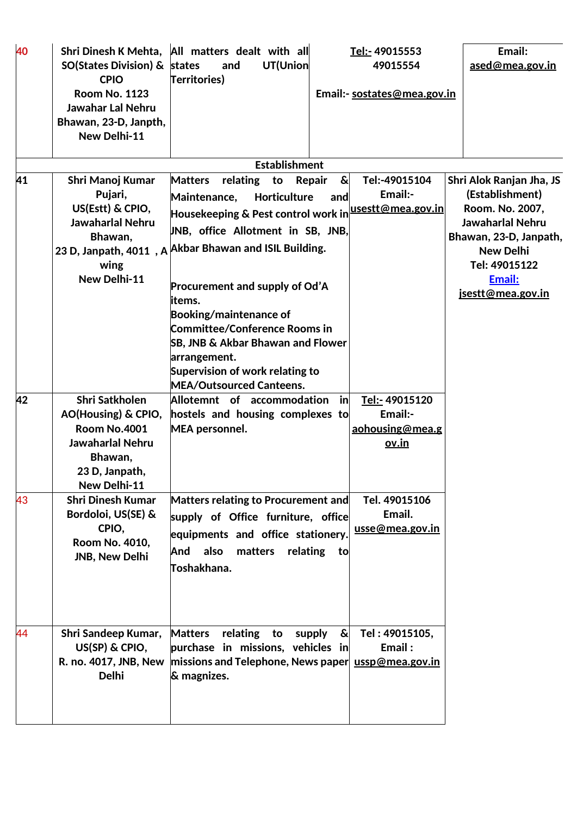| 40 |                                         | Shri Dinesh K Mehta, All matters dealt with all                       | <u>Tel:-</u> 49015553               | Email:                   |
|----|-----------------------------------------|-----------------------------------------------------------------------|-------------------------------------|--------------------------|
|    | <b>SO(States Division) &amp; states</b> | and<br>UT(Union                                                       | 49015554                            | ased@mea.gov.in          |
|    | <b>CPIO</b>                             | Territories)                                                          |                                     |                          |
|    | <b>Room No. 1123</b>                    |                                                                       | Email:- sostates@mea.gov.in         |                          |
|    | <b>Jawahar Lal Nehru</b>                |                                                                       |                                     |                          |
|    | Bhawan, 23-D, Janpth,                   |                                                                       |                                     |                          |
|    | New Delhi-11                            |                                                                       |                                     |                          |
|    |                                         |                                                                       |                                     |                          |
|    |                                         | <b>Establishment</b>                                                  |                                     |                          |
| 41 | Shri Manoj Kumar                        | <b>Matters</b><br>relating<br>to                                      | &<br>Tel:-49015104<br><b>Repair</b> | Shri Alok Ranjan Jha, JS |
|    | Pujari,                                 | Maintenance,<br><b>Horticulture</b>                                   | Email:-<br>and                      | (Establishment)          |
|    | US(Estt) & CPIO,                        | Housekeeping & Pest control work in  <mark>usestt@mea.gov.in</mark>   |                                     | Room. No. 2007,          |
|    | Jawaharlal Nehru                        |                                                                       |                                     | Jawaharlal Nehru         |
|    | Bhawan,                                 | UNB, office Allotment in SB, JNB,                                     |                                     | Bhawan, 23-D, Janpath,   |
|    |                                         | 23 D, Janpath, 4011, A Akbar Bhawan and ISIL Building.                |                                     | <b>New Delhi</b>         |
|    | wing                                    |                                                                       |                                     | Tel: 49015122            |
|    | New Delhi-11                            |                                                                       |                                     | Email:                   |
|    |                                         | Procurement and supply of Od'A                                        |                                     | jsestt@mea.gov.in        |
|    |                                         | items.                                                                |                                     |                          |
|    |                                         | <b>Booking/maintenance of</b><br><b>Committee/Conference Rooms in</b> |                                     |                          |
|    |                                         |                                                                       |                                     |                          |
|    |                                         | <b>SB, JNB &amp; Akbar Bhawan and Flower</b>                          |                                     |                          |
|    |                                         | arrangement.<br>Supervision of work relating to                       |                                     |                          |
|    |                                         | <b>MEA/Outsourced Canteens.</b>                                       |                                     |                          |
| 42 | <b>Shri Satkholen</b>                   | Allotemnt of accommodation                                            | in<br>Tel:- 49015120                |                          |
|    | AO(Housing) & CPIO,                     | hostels and housing complexes to                                      | Email:-                             |                          |
|    | <b>Room No.4001</b>                     | <b>MEA personnel.</b>                                                 | aohousing@mea.g                     |                          |
|    | Jawaharlal Nehru                        |                                                                       | <u>ov.in</u>                        |                          |
|    | Bhawan,                                 |                                                                       |                                     |                          |
|    | 23 D, Janpath,                          |                                                                       |                                     |                          |
|    | <b>New Delhi-11</b>                     |                                                                       |                                     |                          |
| 43 | <b>Shri Dinesh Kumar</b>                | Matters relating to Procurement and                                   | Tel. 49015106                       |                          |
|    | Bordoloi, US(SE) &                      | supply of Office furniture, office                                    | Email.                              |                          |
|    | CPIO,                                   |                                                                       | usse@mea.gov.in                     |                          |
|    | Room No. 4010,                          | equipments and office stationery.                                     |                                     |                          |
|    | JNB, New Delhi                          | also<br>And<br>matters                                                | relating to                         |                          |
|    |                                         | Toshakhana.                                                           |                                     |                          |
|    |                                         |                                                                       |                                     |                          |
|    |                                         |                                                                       |                                     |                          |
|    |                                         |                                                                       |                                     |                          |
| 44 | Shri Sandeep Kumar,                     | <b>Matters</b><br>relating to                                         | &<br>Tel: 49015105,<br>supply       |                          |
|    | US(SP) & CPIO,                          | purchase in missions, vehicles in                                     | Email:                              |                          |
|    | R. no. 4017, JNB, New                   | $\vert$ missions and Telephone, News paper $\vert$ ussp@mea.gov.in    |                                     |                          |
|    | <b>Delhi</b>                            | & magnizes.                                                           |                                     |                          |
|    |                                         |                                                                       |                                     |                          |
|    |                                         |                                                                       |                                     |                          |
|    |                                         |                                                                       |                                     |                          |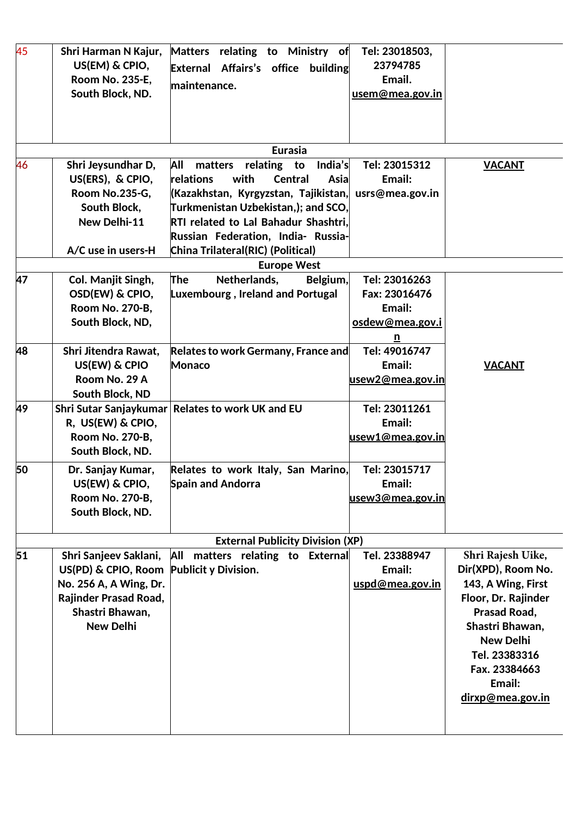| 45 | Shri Harman N Kajur,                     | Matters relating to Ministry of             | Tel: 23018503,          |                     |
|----|------------------------------------------|---------------------------------------------|-------------------------|---------------------|
|    | US(EM) & CPIO,                           | Affairs's office<br>building<br>External    | 23794785                |                     |
|    | <b>Room No. 235-E.</b>                   | lmaintenance.                               | Email.                  |                     |
|    | South Block, ND.                         |                                             | usem@mea.gov.in         |                     |
|    |                                          |                                             |                         |                     |
|    |                                          |                                             |                         |                     |
|    |                                          |                                             |                         |                     |
|    |                                          | <b>Eurasia</b>                              |                         |                     |
| 46 | Shri Jeysundhar D,                       | All<br>India's<br>matters<br>relating<br>to | Tel: 23015312           | <b>VACANT</b>       |
|    | US(ERS), & CPIO,                         | relations<br>with<br><b>Central</b><br>Asia | Email:                  |                     |
|    | Room No.235-G,                           | (Kazakhstan, Kyrgyzstan, Tajikistan,        | usrs@mea.gov.in         |                     |
|    | South Block,                             | Turkmenistan Uzbekistan,); and SCO,         |                         |                     |
|    | New Delhi-11                             | RTI related to Lal Bahadur Shashtri,        |                         |                     |
|    |                                          | Russian Federation, India- Russia-          |                         |                     |
|    | A/C use in users-H                       | China Trilateral(RIC) (Political)           |                         |                     |
|    |                                          | <b>Europe West</b>                          |                         |                     |
| 47 | Col. Manjit Singh,                       | The<br>Netherlands,<br>Belgium,             | Tel: 23016263           |                     |
|    | OSD(EW) & CPIO,                          | <b>Luxembourg, Ireland and Portugal</b>     | Fax: 23016476           |                     |
|    | Room No. 270-B,                          |                                             | Email:                  |                     |
|    | South Block, ND,                         |                                             | osdew@mea.gov.i         |                     |
|    |                                          |                                             | $\mathbf{n}$            |                     |
| 48 | Shri Jitendra Rawat,                     | Relates to work Germany, France and         | Tel: 49016747           |                     |
|    | US(EW) & CPIO                            | <b>Monaco</b>                               | Email:                  | <b>VACANT</b>       |
|    | Room No. 29 A                            |                                             | <u>usew2@mea.gov.in</u> |                     |
|    | South Block, ND                          |                                             |                         |                     |
| 49 | Shri Sutar Sanjaykumar                   | <b>Relates to work UK and EU</b>            | Tel: 23011261           |                     |
|    | R, US(EW) & CPIO,                        |                                             | Email:                  |                     |
|    | Room No. 270-B,                          |                                             | usew1@mea.gov.in        |                     |
|    | South Block, ND.                         |                                             |                         |                     |
| 50 | Dr. Sanjay Kumar,                        | Relates to work Italy, San Marino,          | Tel: 23015717           |                     |
|    | US(EW) & CPIO,                           | <b>Spain and Andorra</b>                    | Email:                  |                     |
|    | Room No. 270-B,                          |                                             | usew3@mea.gov.in        |                     |
|    | South Block, ND.                         |                                             |                         |                     |
|    |                                          |                                             |                         |                     |
|    |                                          | <b>External Publicity Division (XP)</b>     |                         |                     |
| 51 | Shri Sanjeev Saklani,                    | All matters relating to External            | Tel. 23388947           | Shri Rajesh Uike,   |
|    | US(PD) & CPIO, Room Publicit y Division. |                                             | Email:                  | Dir(XPD), Room No.  |
|    | No. 256 A, A Wing, Dr.                   |                                             | uspd@mea.gov.in         | 143, A Wing, First  |
|    | Rajinder Prasad Road,                    |                                             |                         | Floor, Dr. Rajinder |
|    | Shastri Bhawan,                          |                                             |                         | Prasad Road,        |
|    | <b>New Delhi</b>                         |                                             |                         | Shastri Bhawan,     |
|    |                                          |                                             |                         | <b>New Delhi</b>    |
|    |                                          |                                             |                         | Tel. 23383316       |
|    |                                          |                                             |                         | Fax. 23384663       |
|    |                                          |                                             |                         | Email:              |
|    |                                          |                                             |                         | dirxp@mea.gov.in    |
|    |                                          |                                             |                         |                     |
|    |                                          |                                             |                         |                     |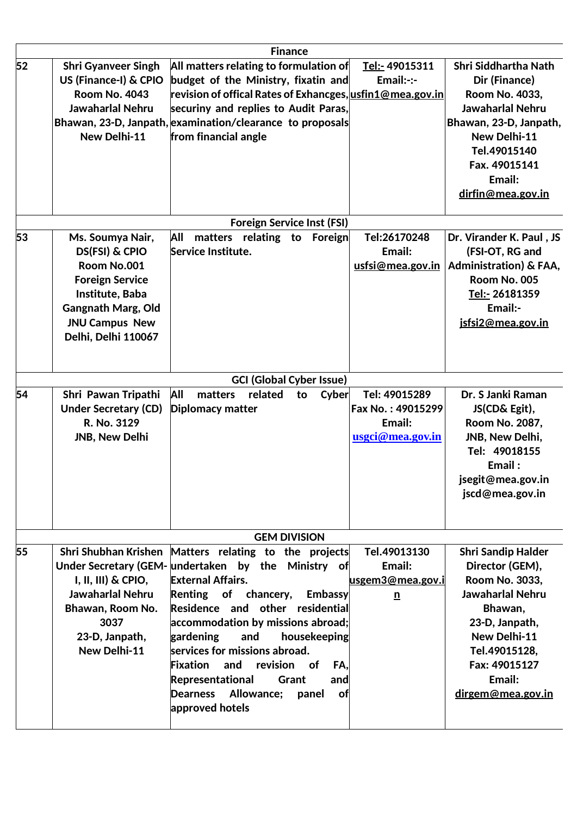|    |                                                                                                                                                                             | <b>Finance</b>                                                                                                                                                                                                                                                                                                                                                                                                                                                         |                                                                  |                                                                                                                                                                                                                |
|----|-----------------------------------------------------------------------------------------------------------------------------------------------------------------------------|------------------------------------------------------------------------------------------------------------------------------------------------------------------------------------------------------------------------------------------------------------------------------------------------------------------------------------------------------------------------------------------------------------------------------------------------------------------------|------------------------------------------------------------------|----------------------------------------------------------------------------------------------------------------------------------------------------------------------------------------------------------------|
| 52 | <b>Shri Gyanveer Singh</b><br>US (Finance-I) & CPIO<br><b>Room No. 4043</b><br><b>Jawaharlal Nehru</b><br>New Delhi-11                                                      | All matters relating to formulation of<br>budget of the Ministry, fixatin and<br>revision of offical Rates of Exhancges, usfin1@mea.gov.in<br>securiny and replies to Audit Paras,<br>Bhawan, 23-D, Janpath, examination/clearance to proposals<br>from financial angle                                                                                                                                                                                                | Tel:- 49015311<br>Email:-:-                                      | Shri Siddhartha Nath<br>Dir (Finance)<br>Room No. 4033,<br><b>Jawaharlal Nehru</b><br>Bhawan, 23-D, Janpath,<br>New Delhi-11<br>Tel.49015140<br>Fax. 49015141<br>Email:<br>dirfin@mea.gov.in                   |
|    |                                                                                                                                                                             | <b>Foreign Service Inst (FSI)</b>                                                                                                                                                                                                                                                                                                                                                                                                                                      |                                                                  |                                                                                                                                                                                                                |
| 53 | Ms. Soumya Nair,<br>DS(FSI) & CPIO<br>Room No.001<br><b>Foreign Service</b><br>Institute, Baba<br><b>Gangnath Marg, Old</b><br><b>JNU Campus New</b><br>Delhi, Delhi 110067 | All<br>matters relating to<br>Foreign<br>Service Institute.                                                                                                                                                                                                                                                                                                                                                                                                            | Tel:26170248<br>Email:<br>usfsi@mea.gov.in                       | Dr. Virander K. Paul, JS<br>(FSI-OT, RG and<br>Administration) & FAA,<br>Room No. 005<br>Tel:- 26181359<br>Email:-<br>jsfsi2@mea.gov.in                                                                        |
|    |                                                                                                                                                                             | <b>GCI (Global Cyber Issue)</b>                                                                                                                                                                                                                                                                                                                                                                                                                                        |                                                                  |                                                                                                                                                                                                                |
| 54 | Shri Pawan Tripathi<br><b>Under Secretary (CD)</b><br>R. No. 3129<br>JNB, New Delhi                                                                                         | All<br>matters<br>related<br>Cyber<br>to<br><b>Diplomacy matter</b>                                                                                                                                                                                                                                                                                                                                                                                                    | Tel: 49015289<br>Fax No.: 49015299<br>Email:<br>usgci@mea.gov.in | Dr. S Janki Raman<br>JS(CD& Egit),<br>Room No. 2087,<br>JNB, New Delhi,<br>Tel: 49018155<br>Email:<br>jsegit@mea.gov.in<br>jscd@mea.gov.in                                                                     |
|    |                                                                                                                                                                             | <b>GEM DIVISION</b>                                                                                                                                                                                                                                                                                                                                                                                                                                                    |                                                                  |                                                                                                                                                                                                                |
| 55 | Shri Shubhan Krishen<br>$I, II, III$ ) & CPIO,<br><b>Jawaharlal Nehru</b><br>Bhawan, Room No.<br>3037<br>23-D, Janpath,<br>New Delhi-11                                     | Matters relating to the projects<br>Under Secretary (GEM- undertaken by the Ministry of<br><b>External Affairs.</b><br>Renting of chancery,<br><b>Embassy</b><br>Residence and other residential<br>accommodation by missions abroad;<br>gardening<br>and<br>housekeeping<br>$\,$ services for missions abroad.<br><b>Fixation</b><br>and<br>revision of<br>FA.<br>Representational<br>Grant<br>and<br>Allowance;<br><b>Dearness</b><br>panel<br>оf<br>approved hotels | Tel.49013130<br>Email:<br>usgem3@mea.gov.i<br>$\mathbf{n}$       | <b>Shri Sandip Halder</b><br>Director (GEM),<br>Room No. 3033,<br><b>Jawaharlal Nehru</b><br>Bhawan,<br>23-D, Janpath,<br>New Delhi-11<br>Tel.49015128,<br>Fax: 49015127<br>Email:<br><u>dirgem@mea.gov.in</u> |
|    |                                                                                                                                                                             |                                                                                                                                                                                                                                                                                                                                                                                                                                                                        |                                                                  |                                                                                                                                                                                                                |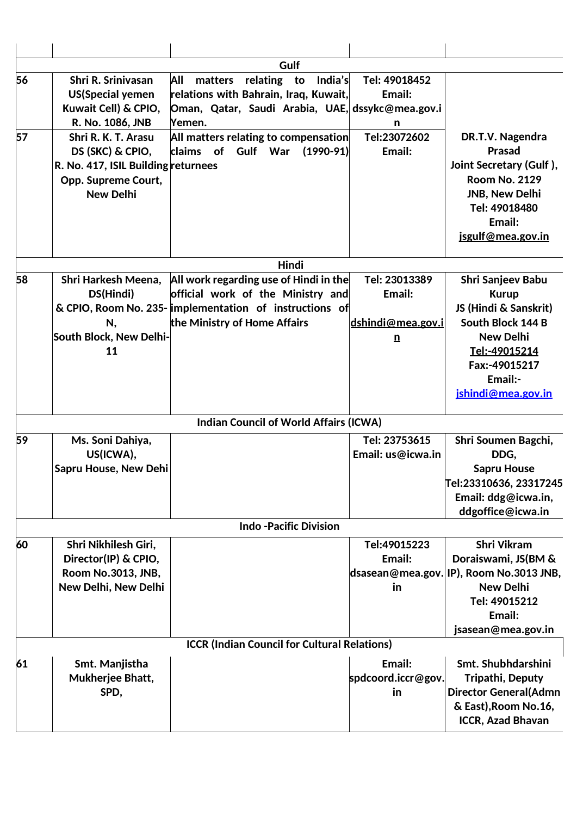|    |                                                                                                                           | Gulf                                                                                                                                         |                                                  |                                                                                                                                                               |
|----|---------------------------------------------------------------------------------------------------------------------------|----------------------------------------------------------------------------------------------------------------------------------------------|--------------------------------------------------|---------------------------------------------------------------------------------------------------------------------------------------------------------------|
| 56 | Shri R. Srinivasan<br><b>US(Special yemen</b><br>Kuwait Cell) & CPIO,<br>R. No. 1086, JNB                                 | matters relating to<br>All<br>India's<br>relations with Bahrain, Iraq, Kuwait,<br>Oman, Qatar, Saudi Arabia, UAE, dssykc@mea.gov.i<br>Yemen. | Tel: 49018452<br>Email:<br>n                     |                                                                                                                                                               |
| 57 | Shri R. K. T. Arasu<br>DS (SKC) & CPIO,<br>R. No. 417, ISIL Building returnees<br>Opp. Supreme Court,<br><b>New Delhi</b> | All matters relating to compensation<br>claims of Gulf War (1990-91)                                                                         | Tel:23072602<br>Email:                           | DR.T.V. Nagendra<br><b>Prasad</b><br>Joint Secretary (Gulf),<br><b>Room No. 2129</b><br><b>JNB, New Delhi</b><br>Tel: 49018480<br>Email:<br>jsgulf@mea.gov.in |
|    |                                                                                                                           | <b>Hindi</b>                                                                                                                                 |                                                  |                                                                                                                                                               |
| 58 | Shri Harkesh Meena,<br>DS(Hindi)                                                                                          | All work regarding use of Hindi in the<br>official work of the Ministry and                                                                  | Tel: 23013389<br>Email:                          | Shri Sanjeev Babu<br><b>Kurup</b>                                                                                                                             |
|    | N,                                                                                                                        | & CPIO, Room No. 235-limplementation of instructions of<br>the Ministry of Home Affairs                                                      | dshindi@mea.gov.i                                | JS (Hindi & Sanskrit)<br>South Block 144 B                                                                                                                    |
|    | South Block, New Delhi-<br>11                                                                                             |                                                                                                                                              | $\underline{n}$                                  | <b>New Delhi</b><br>Tel:-49015214<br>Fax:-49015217<br>Email:-<br>jshindi@mea.gov.in                                                                           |
|    |                                                                                                                           | <b>Indian Council of World Affairs (ICWA)</b>                                                                                                |                                                  |                                                                                                                                                               |
| 59 | Ms. Soni Dahiya,<br>US(ICWA),<br>Sapru House, New Dehi                                                                    |                                                                                                                                              | Tel: 23753615<br>Email: us@icwa.in               | Shri Soumen Bagchi,<br>DDG,<br><b>Sapru House</b><br>Tel:23310636, 23317245<br>Email: ddg@icwa.in,<br>ddgoffice@icwa.in                                       |
|    |                                                                                                                           | <b>Indo -Pacific Division</b>                                                                                                                |                                                  |                                                                                                                                                               |
| 60 | Shri Nikhilesh Giri,<br>Director(IP) & CPIO,<br>Room No.3013, JNB,<br>New Delhi, New Delhi                                |                                                                                                                                              | Tel:49015223<br>Email:<br>dsasean@mea.gov.<br>in | <b>Shri Vikram</b><br>Doraiswami, JS(BM &<br>IP), Room No.3013 JNB,<br><b>New Delhi</b><br>Tel: 49015212<br>Email:<br>jsasean@mea.gov.in                      |
|    |                                                                                                                           | <b>ICCR (Indian Council for Cultural Relations)</b>                                                                                          |                                                  |                                                                                                                                                               |
| 61 | Smt. Manjistha<br>Mukherjee Bhatt,<br>SPD,                                                                                |                                                                                                                                              | Email:<br>spdcoord.iccr@gov.<br>in               | Smt. Shubhdarshini<br><b>Tripathi, Deputy</b><br><b>Director General(Admn</b><br>& East), Room No.16,<br><b>ICCR, Azad Bhavan</b>                             |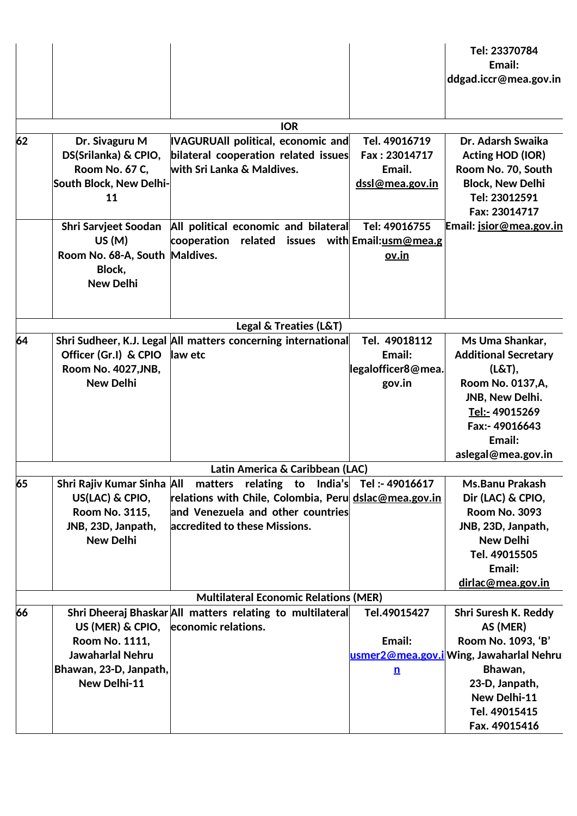|    |                                                                                                           |                                                                                                                                                                          |                                                             | Tel: 23370784<br>Email:<br>ddgad.iccr@mea.gov.in                                                                                                                     |
|----|-----------------------------------------------------------------------------------------------------------|--------------------------------------------------------------------------------------------------------------------------------------------------------------------------|-------------------------------------------------------------|----------------------------------------------------------------------------------------------------------------------------------------------------------------------|
|    |                                                                                                           | <b>IOR</b>                                                                                                                                                               |                                                             |                                                                                                                                                                      |
| 62 | Dr. Sivaguru M<br>DS(Srilanka) & CPIO,<br>Room No. 67 C,<br>South Block, New Delhi-<br>11                 | VAGURUAll political, economic and<br>bilateral cooperation related issues<br>with Sri Lanka & Maldives.                                                                  | Tel. 49016719<br>Fax: 23014717<br>Email.<br>dssl@mea.gov.in | Dr. Adarsh Swaika<br><b>Acting HOD (IOR)</b><br>Room No. 70, South<br><b>Block, New Delhi</b><br>Tel: 23012591<br>Fax: 23014717                                      |
|    | <b>Shri Sarvjeet Soodan</b><br>US(M)<br>Room No. 68-A, South Maldives.<br>Block,<br><b>New Delhi</b>      | All political economic and bilateral<br>cooperation related issues with Email: usm@mea.g                                                                                 | Tel: 49016755<br><u>ov.in</u>                               | Email: jsior@mea.gov.in                                                                                                                                              |
|    |                                                                                                           | <b>Legal &amp; Treaties (L&amp;T)</b>                                                                                                                                    |                                                             |                                                                                                                                                                      |
| 64 | Officer (Gr.I) & CPIO<br>Room No. 4027, JNB,<br><b>New Delhi</b>                                          | Shri Sudheer, K.J. Legal All matters concerning international<br>law etc                                                                                                 | Tel. 49018112<br>Email:<br>legalofficer8@mea.<br>gov.in     | Ms Uma Shankar,<br><b>Additional Secretary</b><br>(L&T),<br>Room No. 0137, A,<br>JNB, New Delhi.<br>Tel:- 49015269<br>Fax:- 49016643<br>Email:<br>aslegal@mea.gov.in |
|    |                                                                                                           | Latin America & Caribbean (LAC)                                                                                                                                          |                                                             |                                                                                                                                                                      |
| 65 | Shri Rajiv Kumar Sinha All<br>US(LAC) & CPIO,<br>Room No. 3115,<br>JNB, 23D, Janpath,<br><b>New Delhi</b> | matters relating to India's Tel:-49016617<br>relations with Chile, Colombia, Peru dslac@mea.gov.in<br>and Venezuela and other countries<br>accredited to these Missions. |                                                             | <b>Ms.Banu Prakash</b><br>Dir (LAC) & CPIO,<br><b>Room No. 3093</b><br>JNB, 23D, Janpath,<br><b>New Delhi</b><br>Tel. 49015505<br>Email:                             |
|    |                                                                                                           | <b>Multilateral Economic Relations (MER)</b>                                                                                                                             |                                                             | dirlac@mea.gov.in                                                                                                                                                    |
| 66 | US (MER) & CPIO,<br>Room No. 1111,<br>Jawaharlal Nehru<br>Bhawan, 23-D, Janpath,<br>New Delhi-11          | Shri Dheeraj Bhaskar All matters relating to multilateral<br>economic relations.                                                                                         | Tel.49015427<br>Email:<br>$\mathbf{n}$                      | Shri Suresh K. Reddy<br>AS (MER)<br>Room No. 1093, 'B'<br>usmer2@mea.gov.i Wing, Jawaharlal Nehru<br>Bhawan,<br>23-D, Janpath,<br>New Delhi-11                       |
|    |                                                                                                           |                                                                                                                                                                          |                                                             | Tel. 49015415<br>Fax. 49015416                                                                                                                                       |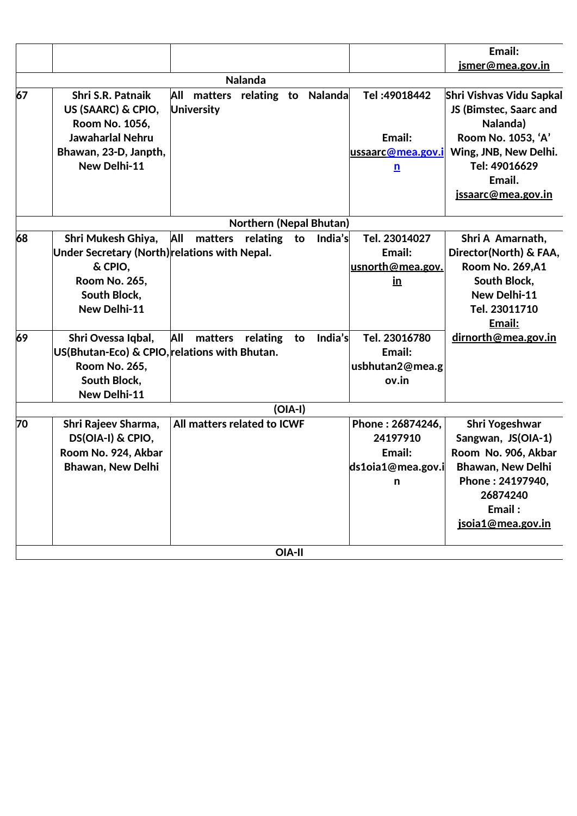|    |                                                                                                                                 |                                                         |                             |               |         |                                                                        | Email:                                                                                                                                                        |
|----|---------------------------------------------------------------------------------------------------------------------------------|---------------------------------------------------------|-----------------------------|---------------|---------|------------------------------------------------------------------------|---------------------------------------------------------------------------------------------------------------------------------------------------------------|
|    |                                                                                                                                 |                                                         |                             |               |         |                                                                        | <u>ismer@mea.gov.in</u>                                                                                                                                       |
|    |                                                                                                                                 |                                                         | <b>Nalanda</b>              |               |         |                                                                        |                                                                                                                                                               |
| 67 | Shri S.R. Patnaik<br>US (SAARC) & CPIO,<br>Room No. 1056,<br><b>Jawaharlal Nehru</b>                                            | All<br>matters relating to Nalanda<br><b>University</b> |                             |               |         | Tel: 49018442<br>Email:                                                | Shri Vishvas Vidu Sapkal<br>JS (Bimstec, Saarc and<br>Nalanda)<br>Room No. 1053, 'A'                                                                          |
|    | Bhawan, 23-D, Janpth,<br>New Delhi-11                                                                                           |                                                         |                             |               |         | ussaarc@mea.gov.i<br>$\mathbf{n}$                                      | Wing, JNB, New Delhi.<br>Tel: 49016629<br>Email.<br><u>jssaarc@mea.gov.in</u>                                                                                 |
|    |                                                                                                                                 |                                                         | Northern (Nepal Bhutan)     |               |         |                                                                        |                                                                                                                                                               |
| 68 | Shri Mukesh Ghiya,<br>Under Secretary (North) relations with Nepal.<br>& CPIO,<br>Room No. 265,<br>South Block,<br>New Delhi-11 | All                                                     | matters relating to India's |               |         | Tel. 23014027<br>Email:<br>usnorth@mea.gov.<br>$\underline{\text{in}}$ | Shri A Amarnath,<br>Director(North) & FAA,<br><b>Room No. 269,A1</b><br>South Block,<br>New Delhi-11<br>Tel. 23011710<br>Email:                               |
| 69 | Shri Ovessa Iqbal,<br>US(Bhutan-Eco) & CPIO, relations with Bhutan.<br>Room No. 265,<br>South Block,<br>New Delhi-11            | All                                                     | matters relating            | to            | India's | Tel. 23016780<br>Email:<br>usbhutan2@mea.g<br>ov.in                    | dirnorth@mea.gov.in                                                                                                                                           |
|    |                                                                                                                                 |                                                         |                             | $(O A-I)$     |         |                                                                        |                                                                                                                                                               |
| 70 | Shri Rajeev Sharma,<br>DS(OIA-I) & CPIO,<br>Room No. 924, Akbar<br><b>Bhawan, New Delhi</b>                                     | All matters related to ICWF                             |                             |               |         | Phone: 26874246,<br>24197910<br>Email:<br>ds1oia1@mea.gov.i<br>n       | <b>Shri Yogeshwar</b><br>Sangwan, JS(OIA-1)<br>Room No. 906, Akbar<br><b>Bhawan, New Delhi</b><br>Phone: 24197940,<br>26874240<br>Email:<br>jsoja1@mea.gov.in |
|    |                                                                                                                                 |                                                         |                             | <b>OIA-II</b> |         |                                                                        |                                                                                                                                                               |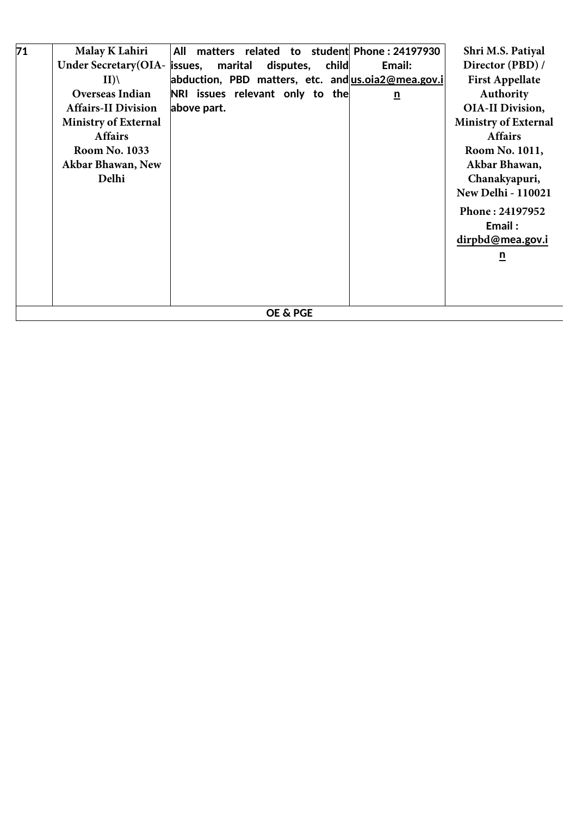| 71 | <b>Malay K Lahiri</b>         | matters related to student Phone: 24197930<br>All  | Shri M.S. Patiyal           |
|----|-------------------------------|----------------------------------------------------|-----------------------------|
|    | Under Secretary (OIA- issues, | marital<br>disputes, child<br>Email:               | Director (PBD) /            |
|    | II)                           | abduction, PBD matters, etc. and us.oia2@mea.gov.i | <b>First Appellate</b>      |
|    | <b>Overseas Indian</b>        | NRI issues relevant only to the<br>$\underline{n}$ | Authority                   |
|    | <b>Affairs-II Division</b>    | above part.                                        | <b>OIA-II Division,</b>     |
|    | <b>Ministry of External</b>   |                                                    | <b>Ministry of External</b> |
|    | <b>Affairs</b>                |                                                    | <b>Affairs</b>              |
|    | <b>Room No. 1033</b>          |                                                    | Room No. 1011,              |
|    | Akbar Bhawan, New             |                                                    | Akbar Bhawan,               |
|    | Delhi                         |                                                    | Chanakyapuri,               |
|    |                               |                                                    | <b>New Delhi - 110021</b>   |
|    |                               |                                                    | Phone: 24197952             |
|    |                               |                                                    | Email:                      |
|    |                               |                                                    | dirpbd@mea.gov.i            |
|    |                               |                                                    | $\overline{\mathbf{n}}$     |
|    |                               |                                                    |                             |
|    |                               |                                                    |                             |
|    |                               |                                                    |                             |
|    |                               | <b>OE &amp; PGE</b>                                |                             |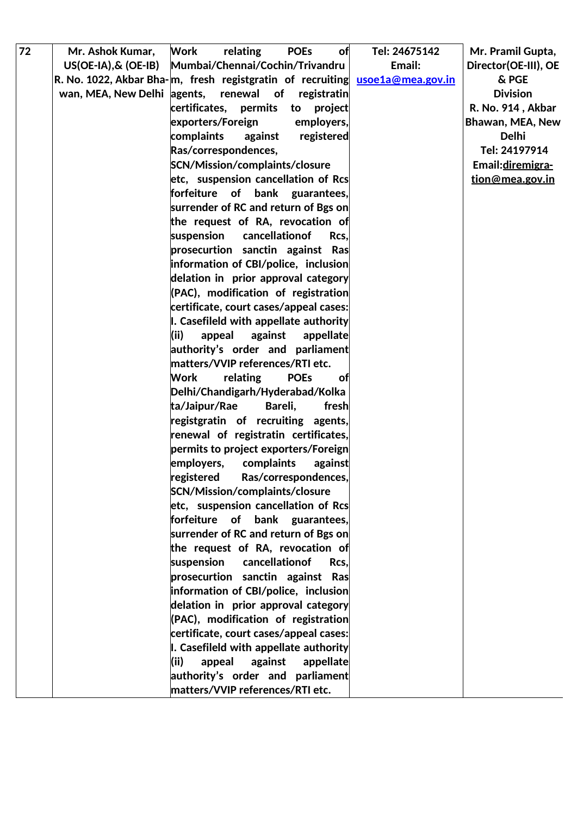| 72 | Mr. Ashok Kumar,                                                             | <b>Work</b><br>relating                                             | <b>POEs</b><br>of      | Tel: 24675142 | Mr. Pramil Gupta,    |
|----|------------------------------------------------------------------------------|---------------------------------------------------------------------|------------------------|---------------|----------------------|
|    | $US(OE-IA), & (OE-IB)$                                                       | Mumbai/Chennai/Cochin/Trivandru                                     |                        | Email:        | Director(OE-III), OE |
|    | R. No. 1022, Akbar Bha-m, fresh registgratin of recruiting usoe1a@mea.gov.in |                                                                     |                        |               | & PGE                |
|    | wan, MEA, New Delhi agents,                                                  | renewal<br>of                                                       | registratin            |               | <b>Division</b>      |
|    |                                                                              | certificates, permits                                               | project<br>to          |               | R. No. 914, Akbar    |
|    |                                                                              | exporters/Foreign                                                   | employers,             |               | Bhawan, MEA, New     |
|    |                                                                              | complaints<br>against                                               | registered             |               | <b>Delhi</b>         |
|    |                                                                              | Ras/correspondences,                                                |                        |               | Tel: 24197914        |
|    |                                                                              | SCN/Mission/complaints/closure                                      |                        |               | Email: diremigra-    |
|    |                                                                              | etc, suspension cancellation of Rcs                                 |                        |               | tion@mea.gov.in      |
|    |                                                                              | forfeiture                                                          | of bank guarantees,    |               |                      |
|    |                                                                              | surrender of RC and return of Bgs on                                |                        |               |                      |
|    |                                                                              | the request of RA, revocation of                                    |                        |               |                      |
|    |                                                                              | suspension                                                          | cancellationof<br>Rcs. |               |                      |
|    |                                                                              | prosecurtion sanctin against Ras                                    |                        |               |                      |
|    |                                                                              | information of CBI/police, inclusion                                |                        |               |                      |
|    |                                                                              | delation in prior approval category                                 |                        |               |                      |
|    |                                                                              | (PAC), modification of registration                                 |                        |               |                      |
|    |                                                                              | certificate, court cases/appeal cases:                              |                        |               |                      |
|    |                                                                              | I. Casefileld with appellate authority                              |                        |               |                      |
|    |                                                                              | (ii)<br>appeal<br>against                                           | appellate              |               |                      |
|    |                                                                              | authority's order and parliament                                    |                        |               |                      |
|    |                                                                              | matters/VVIP references/RTI etc.                                    |                        |               |                      |
|    |                                                                              | relating<br>Work                                                    | <b>POEs</b><br>оf      |               |                      |
|    |                                                                              | Delhi/Chandigarh/Hyderabad/Kolka                                    |                        |               |                      |
|    |                                                                              | ta/Jaipur/Rae                                                       | Bareli,<br>fresh       |               |                      |
|    |                                                                              | registgratin of recruiting agents,                                  |                        |               |                      |
|    |                                                                              | renewal of registratin certificates,                                |                        |               |                      |
|    |                                                                              | permits to project exporters/Foreign                                |                        |               |                      |
|    |                                                                              | employers,<br>complaints                                            | against                |               |                      |
|    |                                                                              | registered                                                          | Ras/correspondences,   |               |                      |
|    |                                                                              | SCN/Mission/complaints/closure                                      |                        |               |                      |
|    |                                                                              | etc, suspension cancellation of Rcs                                 |                        |               |                      |
|    |                                                                              | forfeiture of bank guarantees,                                      |                        |               |                      |
|    |                                                                              | surrender of RC and return of Bgs on                                |                        |               |                      |
|    |                                                                              | the request of RA, revocation of                                    |                        |               |                      |
|    |                                                                              | cancellationof<br>suspension                                        | Rcs.                   |               |                      |
|    |                                                                              | prosecurtion sanctin against Ras                                    |                        |               |                      |
|    |                                                                              | information of CBI/police, inclusion                                |                        |               |                      |
|    |                                                                              | delation in prior approval category                                 |                        |               |                      |
|    |                                                                              | (PAC), modification of registration                                 |                        |               |                      |
|    |                                                                              | certificate, court cases/appeal cases:                              |                        |               |                      |
|    |                                                                              | I. Casefileld with appellate authority<br>(ii)<br>appeal<br>against |                        |               |                      |
|    |                                                                              | authority's order and parliament                                    | appellate              |               |                      |
|    |                                                                              | matters/VVIP references/RTI etc.                                    |                        |               |                      |
|    |                                                                              |                                                                     |                        |               |                      |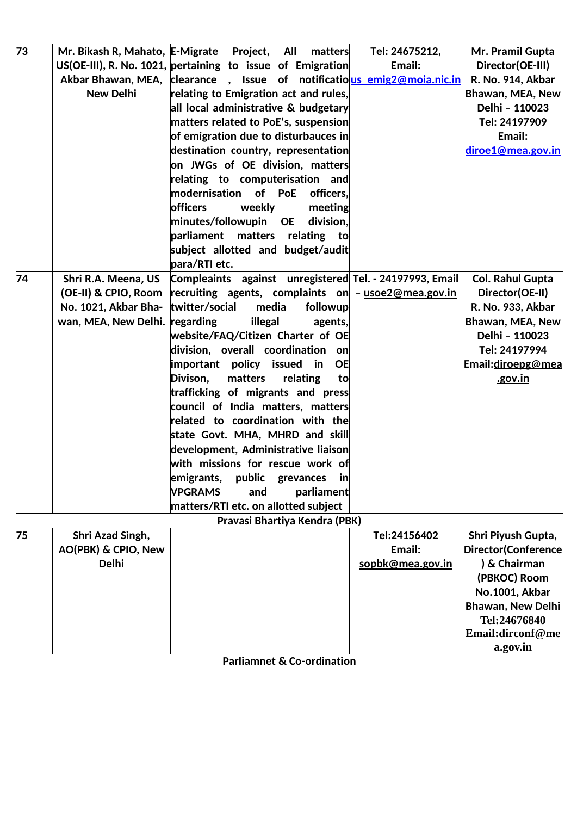| 73 |                      | Mr. Bikash R, Mahato, E-Migrate Project, All                           | matters    | Tel: 24675212,   | Mr. Pramil Gupta           |
|----|----------------------|------------------------------------------------------------------------|------------|------------------|----------------------------|
|    |                      | US(OE-III), R. No. 1021, pertaining to issue of Emigration             |            | Email:           | Director(OE-III)           |
|    |                      | Akbar Bhawan, MEA, clearance, Issue of notificatious emig2@moja.nic.in |            |                  | R. No. 914, Akbar          |
|    | <b>New Delhi</b>     | relating to Emigration act and rules,                                  |            |                  | Bhawan, MEA, New           |
|    |                      | all local administrative & budgetary                                   |            |                  | Delhi - 110023             |
|    |                      | matters related to PoE's, suspension                                   |            |                  | Tel: 24197909              |
|    |                      | of emigration due to disturbauces in                                   |            |                  | Email:                     |
|    |                      | destination country, representation                                    |            |                  | diroe1@mea.gov.in          |
|    |                      | on JWGs of OE division, matters                                        |            |                  |                            |
|    |                      | relating to computerisation and                                        |            |                  |                            |
|    |                      | modernisation of PoE                                                   | officers.  |                  |                            |
|    |                      | <b>officers</b><br>weekly                                              | meeting    |                  |                            |
|    |                      | minutes/followupin<br><b>OE</b>                                        | division.  |                  |                            |
|    |                      | parliament matters relating                                            | to         |                  |                            |
|    |                      | subject allotted and budget/audit                                      |            |                  |                            |
|    |                      | para/RTI etc.                                                          |            |                  |                            |
| 74 | Shri R.A. Meena, US  | Compleaints against unregistered Tel. - 24197993, Email                |            |                  | <b>Col. Rahul Gupta</b>    |
|    | (OE-II) & CPIO, Room | recruiting agents, complaints on - usoe2@mea.gov.in                    |            |                  | Director(OE-II)            |
|    | No. 1021, Akbar Bha- | twitter/social<br>media                                                | followup   |                  | R. No. 933, Akbar          |
|    | wan, MEA, New Delhi. | regarding<br>illegal                                                   | agents,    |                  | Bhawan, MEA, New           |
|    |                      | website/FAQ/Citizen Charter of OE                                      |            |                  | Delhi - 110023             |
|    |                      | division, overall coordination on                                      |            |                  | Tel: 24197994              |
|    |                      | important policy issued in                                             | <b>OE</b>  |                  | Email: diroepg@mea         |
|    |                      | Divison,<br>matters<br>relating                                        | to         |                  | .gov.in                    |
|    |                      | trafficking of migrants and press                                      |            |                  |                            |
|    |                      | council of India matters, matters                                      |            |                  |                            |
|    |                      | related to coordination with the                                       |            |                  |                            |
|    |                      | state Govt. MHA, MHRD and skill                                        |            |                  |                            |
|    |                      | development, Administrative liaison                                    |            |                  |                            |
|    |                      | with missions for rescue work of                                       |            |                  |                            |
|    |                      | emigrants, public grevances in                                         |            |                  |                            |
|    |                      | <b>VPGRAMS</b><br>and                                                  | parliament |                  |                            |
|    |                      | matters/RTI etc. on allotted subject                                   |            |                  |                            |
|    |                      | Pravasi Bhartiya Kendra (PBK)                                          |            |                  |                            |
| 75 | Shri Azad Singh,     |                                                                        |            | Tel:24156402     | Shri Piyush Gupta,         |
|    | AO(PBK) & CPIO, New  |                                                                        |            | Email:           | <b>Director(Conference</b> |
|    | <b>Delhi</b>         |                                                                        |            | sopbk@mea.gov.in | ) & Chairman               |
|    |                      |                                                                        |            |                  | (PBKOC) Room               |
|    |                      |                                                                        |            |                  | No.1001, Akbar             |
|    |                      |                                                                        |            |                  | <b>Bhawan, New Delhi</b>   |
|    |                      |                                                                        |            |                  | Tel:24676840               |
|    |                      |                                                                        |            |                  | Email:dirconf@me           |
|    |                      |                                                                        |            |                  | a.gov.in                   |
|    |                      | <b>Parliamnet &amp; Co-ordination</b>                                  |            |                  |                            |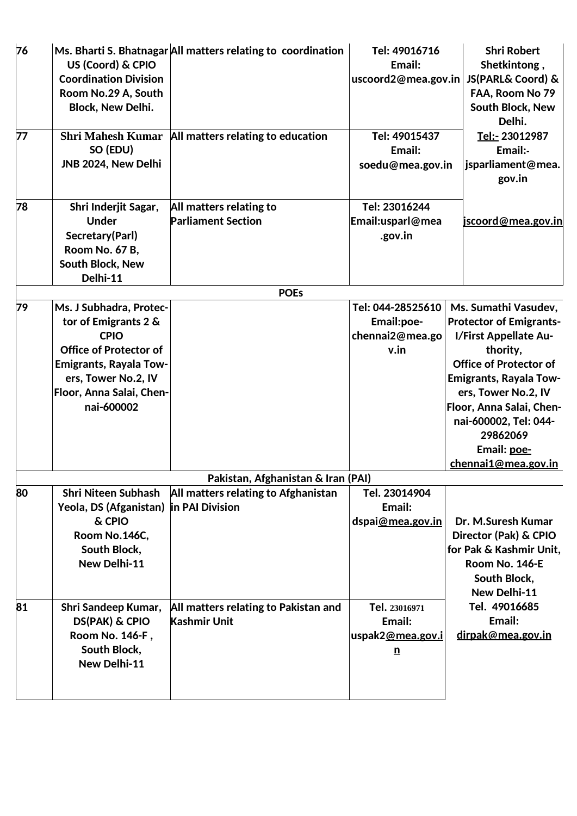| 76 | US (Coord) & CPIO<br><b>Coordination Division</b><br>Room No.29 A, South<br><b>Block, New Delhi.</b>                                                                                              | Ms. Bharti S. Bhatnagar All matters relating to coordination | Tel: 49016716<br>Email:<br>uscoord2@mea.gov.in             | <b>Shri Robert</b><br>Shetkintong,<br>JS(PARL& Coord) &<br>FAA, Room No 79<br>South Block, New<br>Delhi.                                                                                                                                                                                    |
|----|---------------------------------------------------------------------------------------------------------------------------------------------------------------------------------------------------|--------------------------------------------------------------|------------------------------------------------------------|---------------------------------------------------------------------------------------------------------------------------------------------------------------------------------------------------------------------------------------------------------------------------------------------|
| 77 | <b>Shri Mahesh Kumar</b><br>SO (EDU)<br>JNB 2024, New Delhi                                                                                                                                       | All matters relating to education                            | Tel: 49015437<br>Email:<br>soedu@mea.gov.in                | Tel:- 23012987<br>Email:-<br>jsparliament@mea.<br>gov.in                                                                                                                                                                                                                                    |
| 78 | Shri Inderjit Sagar,<br><b>Under</b><br>Secretary(Parl)<br>Room No. 67 B,<br>South Block, New<br>Delhi-11                                                                                         | All matters relating to<br><b>Parliament Section</b>         | Tel: 23016244<br>Email:usparl@mea<br>.gov.in               | jscoord@mea.gov.in                                                                                                                                                                                                                                                                          |
|    |                                                                                                                                                                                                   | <b>POEs</b>                                                  |                                                            |                                                                                                                                                                                                                                                                                             |
| 79 | Ms. J Subhadra, Protec-<br>tor of Emigrants 2 &<br><b>CPIO</b><br><b>Office of Protector of</b><br><b>Emigrants, Rayala Tow-</b><br>ers, Tower No.2, IV<br>Floor, Anna Salai, Chen-<br>nai-600002 |                                                              | Tel: 044-28525610<br>Email:poe-<br>chennai2@mea.go<br>v.in | Ms. Sumathi Vasudev,<br><b>Protector of Emigrants-</b><br>I/First Appellate Au-<br>thority,<br><b>Office of Protector of</b><br><b>Emigrants, Rayala Tow-</b><br>ers, Tower No.2, IV<br>Floor, Anna Salai, Chen-<br>nai-600002, Tel: 044-<br>29862069<br>Email: poe-<br>chennai1@mea.gov.in |
|    |                                                                                                                                                                                                   | Pakistan, Afghanistan & Iran (PAI)                           |                                                            |                                                                                                                                                                                                                                                                                             |
| 80 | <b>Shri Niteen Subhash</b><br>Yeola, DS (Afganistan)<br>& CPIO<br>Room No.146C,<br>South Block,<br>New Delhi-11                                                                                   | All matters relating to Afghanistan<br>in PAI Division       | Tel. 23014904<br>Email:<br>dspai@mea.gov.in                | Dr. M.Suresh Kumar<br>Director (Pak) & CPIO<br>for Pak & Kashmir Unit.<br>Room No. 146-E<br>South Block,<br>New Delhi-11                                                                                                                                                                    |
| 81 | Shri Sandeep Kumar,<br><b>DS(PAK) &amp; CPIO</b><br>Room No. 146-F,<br>South Block,<br>New Delhi-11                                                                                               | All matters relating to Pakistan and<br><b>Kashmir Unit</b>  | Tel. 23016971<br>Email:<br>uspak2@mea.gov.i<br>n           | Tel. 49016685<br>Email:<br>dirpak@mea.gov.in                                                                                                                                                                                                                                                |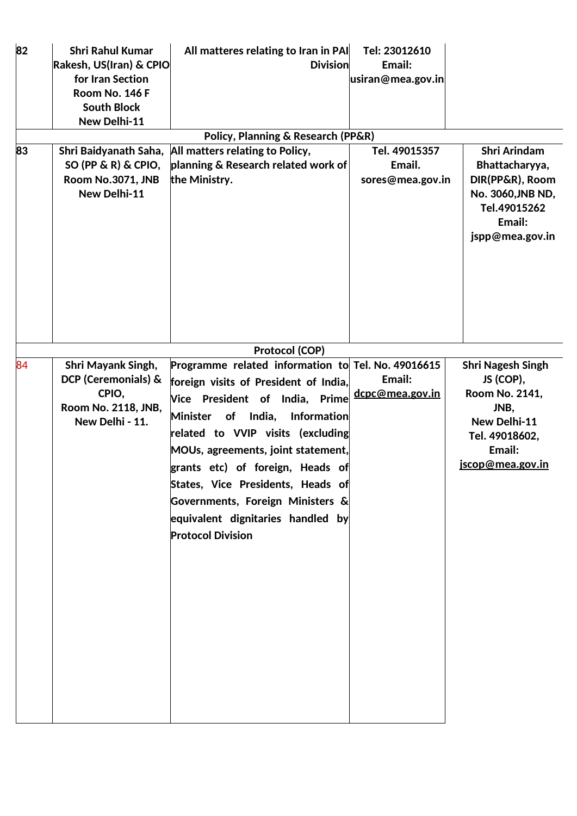| 82 | <b>Shri Rahul Kumar</b>                          | All matteres relating to Iran in PAI               | Tel: 23012610     |                          |
|----|--------------------------------------------------|----------------------------------------------------|-------------------|--------------------------|
|    | Rakesh, US(Iran) & CPIO                          | <b>Division</b>                                    | Email:            |                          |
|    | for Iran Section                                 |                                                    | usiran@mea.gov.in |                          |
|    | Room No. 146 F                                   |                                                    |                   |                          |
|    | <b>South Block</b>                               |                                                    |                   |                          |
|    | New Delhi-11                                     |                                                    |                   |                          |
|    |                                                  | <b>Policy, Planning &amp; Research (PP&amp;R)</b>  |                   |                          |
| 83 | Shri Baidyanath Saha,                            | All matters relating to Policy,                    | Tel. 49015357     | <b>Shri Arindam</b>      |
|    | SO (PP & R) & CPIO,                              | planning & Research related work of                | Email.            | Bhattacharyya,           |
|    | Room No.3071, JNB                                | the Ministry.                                      | sores@mea.gov.in  | DIR(PP&R), Room          |
|    | New Delhi-11                                     |                                                    |                   | No. 3060, JNB ND,        |
|    |                                                  |                                                    |                   | Tel.49015262             |
|    |                                                  |                                                    |                   | Email:                   |
|    |                                                  |                                                    |                   | jspp@mea.gov.in          |
|    |                                                  |                                                    |                   |                          |
|    |                                                  |                                                    |                   |                          |
|    |                                                  |                                                    |                   |                          |
|    |                                                  |                                                    |                   |                          |
|    |                                                  |                                                    |                   |                          |
|    |                                                  |                                                    |                   |                          |
|    |                                                  | Protocol (COP)                                     |                   |                          |
| 84 |                                                  | Programme related information to Tel. No. 49016615 |                   | <b>Shri Nagesh Singh</b> |
|    | <b>Shri Mayank Singh,</b><br>DCP (Ceremonials) & |                                                    | Email:            | JS (COP),                |
|    | CPIO,                                            | foreign visits of President of India,              | dcpc@mea.gov.in   | Room No. 2141,           |
|    | Room No. 2118, JNB,                              | Vice President of India, Prime                     |                   | JNB,                     |
|    | New Delhi - 11.                                  | India,<br><b>Minister</b><br>of<br>Information     |                   | New Delhi-11             |
|    |                                                  | related to VVIP visits (excluding                  |                   | Tel. 49018602,           |
|    |                                                  | MOUs, agreements, joint statement,                 |                   | Email:                   |
|    |                                                  | grants etc) of foreign, Heads of                   |                   | jscop@mea.gov.in         |
|    |                                                  |                                                    |                   |                          |
|    |                                                  | States, Vice Presidents, Heads of                  |                   |                          |
|    |                                                  | Governments, Foreign Ministers &                   |                   |                          |
|    |                                                  | equivalent dignitaries handled by                  |                   |                          |
|    |                                                  | <b>Protocol Division</b>                           |                   |                          |
|    |                                                  |                                                    |                   |                          |
|    |                                                  |                                                    |                   |                          |
|    |                                                  |                                                    |                   |                          |
|    |                                                  |                                                    |                   |                          |
|    |                                                  |                                                    |                   |                          |
|    |                                                  |                                                    |                   |                          |
|    |                                                  |                                                    |                   |                          |
|    |                                                  |                                                    |                   |                          |
|    |                                                  |                                                    |                   |                          |
|    |                                                  |                                                    |                   |                          |
|    |                                                  |                                                    |                   |                          |
|    |                                                  |                                                    |                   |                          |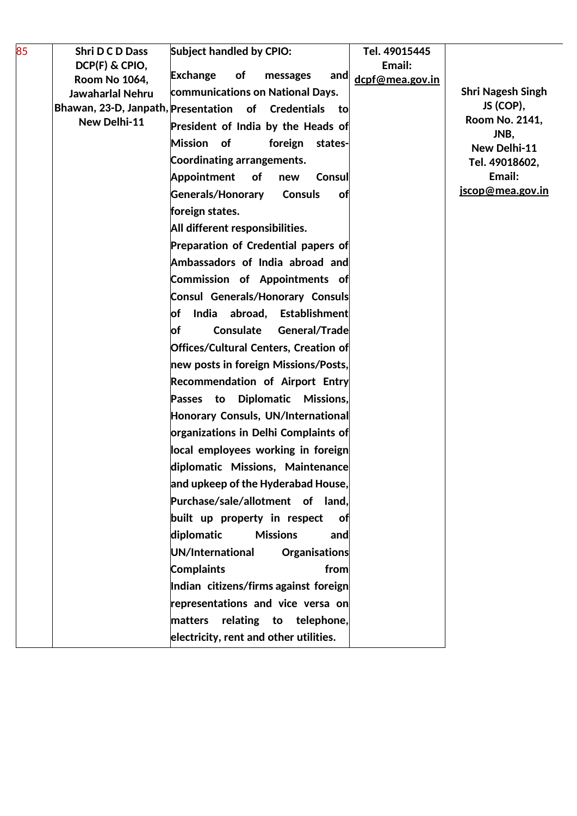| 85 | Shri D C D Dass                                            | <b>Subject handled by CPIO:</b>                 | Tel. 49015445   |                          |
|----|------------------------------------------------------------|-------------------------------------------------|-----------------|--------------------------|
|    | DCP(F) & CPIO,                                             | <b>Exchange</b><br><b>of</b><br>messages<br>and | Email:          |                          |
|    | <b>Room No 1064,</b>                                       | communications on National Days.                | dcpf@mea.gov.in | <b>Shri Nagesh Singh</b> |
|    | Jawaharlal Nehru<br>Bhawan, 23-D, Janpath, Presentation of | Credentials<br>tol                              |                 | JS (COP),                |
|    | New Delhi-11                                               |                                                 |                 | Room No. 2141,           |
|    |                                                            | President of India by the Heads of              |                 | JNB,                     |
|    |                                                            | Mission of<br>foreign<br>states-                |                 | New Delhi-11             |
|    |                                                            | Coordinating arrangements.                      |                 | Tel. 49018602,<br>Email: |
|    |                                                            | <b>Appointment</b><br>of<br>Consul<br>new       |                 | jscop@mea.gov.in         |
|    |                                                            | Generals/Honorary<br><b>Consuls</b><br>оf       |                 |                          |
|    |                                                            | foreign states.                                 |                 |                          |
|    |                                                            | All different responsibilities.                 |                 |                          |
|    |                                                            | Preparation of Credential papers of             |                 |                          |
|    |                                                            | Ambassadors of India abroad and                 |                 |                          |
|    |                                                            | Commission of Appointments of                   |                 |                          |
|    |                                                            | <b>Consul Generals/Honorary Consuls</b>         |                 |                          |
|    |                                                            | <b>of</b><br>India abroad, Establishment        |                 |                          |
|    |                                                            | General/Trade<br>Consulate<br>of                |                 |                          |
|    |                                                            | Offices/Cultural Centers, Creation of           |                 |                          |
|    |                                                            | new posts in foreign Missions/Posts,            |                 |                          |
|    |                                                            | Recommendation of Airport Entry                 |                 |                          |
|    |                                                            | Passes to Diplomatic<br>Missions,               |                 |                          |
|    |                                                            | Honorary Consuls, UN/International              |                 |                          |
|    |                                                            | organizations in Delhi Complaints of            |                 |                          |
|    |                                                            | local employees working in foreign              |                 |                          |
|    |                                                            | diplomatic Missions, Maintenance                |                 |                          |
|    |                                                            | and upkeep of the Hyderabad House,              |                 |                          |
|    |                                                            | Purchase/sale/allotment of land,                |                 |                          |
|    |                                                            | built up property in respect<br>оf              |                 |                          |
|    |                                                            | diplomatic<br><b>Missions</b><br>and            |                 |                          |
|    |                                                            | UN/International<br>Organisations               |                 |                          |
|    |                                                            | <b>Complaints</b><br>from                       |                 |                          |
|    |                                                            | Indian citizens/firms against foreign           |                 |                          |
|    |                                                            | representations and vice versa on               |                 |                          |
|    |                                                            | relating to telephone,<br>matters               |                 |                          |
|    |                                                            | electricity, rent and other utilities.          |                 |                          |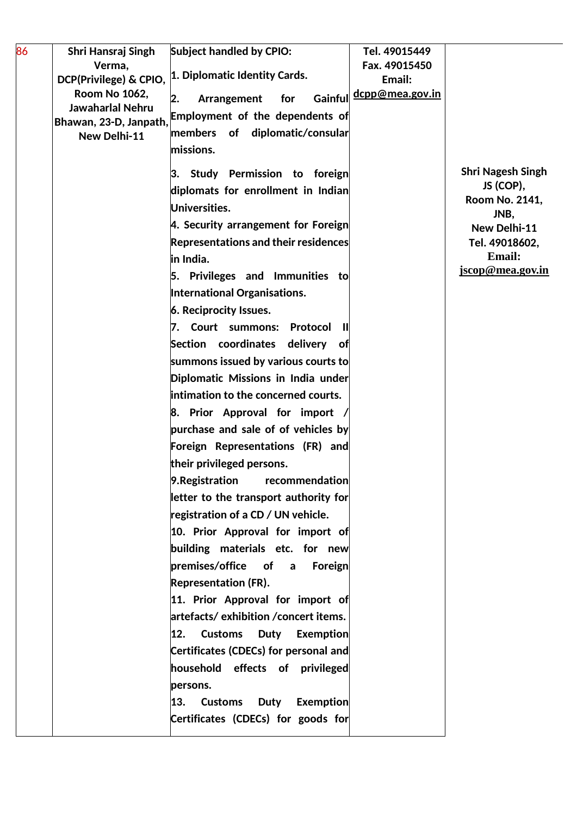| 86 | Shri Hansraj Singh                             | <b>Subject handled by CPIO:</b>                         | Tel. 49015449                    |                          |
|----|------------------------------------------------|---------------------------------------------------------|----------------------------------|--------------------------|
|    | Verma,                                         | 1. Diplomatic Identity Cards.                           | Fax. 49015450                    |                          |
|    | DCP(Privilege) & CPIO,<br><b>Room No 1062,</b> |                                                         | Email:<br><u>dcpp@mea.gov.in</u> |                          |
|    | Jawaharlal Nehru                               | for<br>Gainful<br>Arrangement<br>2.                     |                                  |                          |
|    | Bhawan, 23-D, Janpath,                         | <b>Employment of the dependents of</b>                  |                                  |                          |
|    | New Delhi-11                                   | members of diplomatic/consular                          |                                  |                          |
|    |                                                | missions.                                               |                                  |                          |
|    |                                                | 3. Study Permission to foreign                          |                                  | <b>Shri Nagesh Singh</b> |
|    |                                                | diplomats for enrollment in Indian                      |                                  | JS (COP),                |
|    |                                                | Universities.                                           |                                  | Room No. 2141,<br>JNB,   |
|    |                                                | 4. Security arrangement for Foreign                     |                                  | New Delhi-11             |
|    |                                                | <b>Representations and their residences</b>             |                                  | Tel. 49018602.           |
|    |                                                | in India.                                               |                                  | Email:                   |
|    |                                                | 5. Privileges and Immunities to                         |                                  | jscop@mea.gov.in         |
|    |                                                | International Organisations.                            |                                  |                          |
|    |                                                | 6. Reciprocity Issues.                                  |                                  |                          |
|    |                                                | 7. Court summons:<br>Protocol<br>Ш                      |                                  |                          |
|    |                                                | Section coordinates delivery of                         |                                  |                          |
|    |                                                | summons issued by various courts to                     |                                  |                          |
|    |                                                | Diplomatic Missions in India under                      |                                  |                          |
|    |                                                | intimation to the concerned courts.                     |                                  |                          |
|    |                                                | 8. Prior Approval for import                            |                                  |                          |
|    |                                                | purchase and sale of of vehicles by                     |                                  |                          |
|    |                                                | Foreign Representations (FR) and                        |                                  |                          |
|    |                                                | their privileged persons.                               |                                  |                          |
|    |                                                | 9. Registration<br>recommendation                       |                                  |                          |
|    |                                                | letter to the transport authority for                   |                                  |                          |
|    |                                                | registration of a CD / UN vehicle.                      |                                  |                          |
|    |                                                | 10. Prior Approval for import of                        |                                  |                          |
|    |                                                | building materials etc. for new                         |                                  |                          |
|    |                                                | premises/office<br>$\bullet$<br>Foreign<br>$\mathsf{a}$ |                                  |                          |
|    |                                                | <b>Representation (FR).</b>                             |                                  |                          |
|    |                                                | 11. Prior Approval for import of                        |                                  |                          |
|    |                                                | artefacts/ exhibition /concert items.                   |                                  |                          |
|    |                                                | 12. Customs<br>Duty<br>Exemption                        |                                  |                          |
|    |                                                | Certificates (CDECs) for personal and                   |                                  |                          |
|    |                                                | household effects of privileged                         |                                  |                          |
|    |                                                | persons.                                                |                                  |                          |
|    |                                                | 13.<br><b>Customs</b><br>Duty<br><b>Exemption</b>       |                                  |                          |
|    |                                                | Certificates (CDECs) for goods for                      |                                  |                          |
|    |                                                |                                                         |                                  |                          |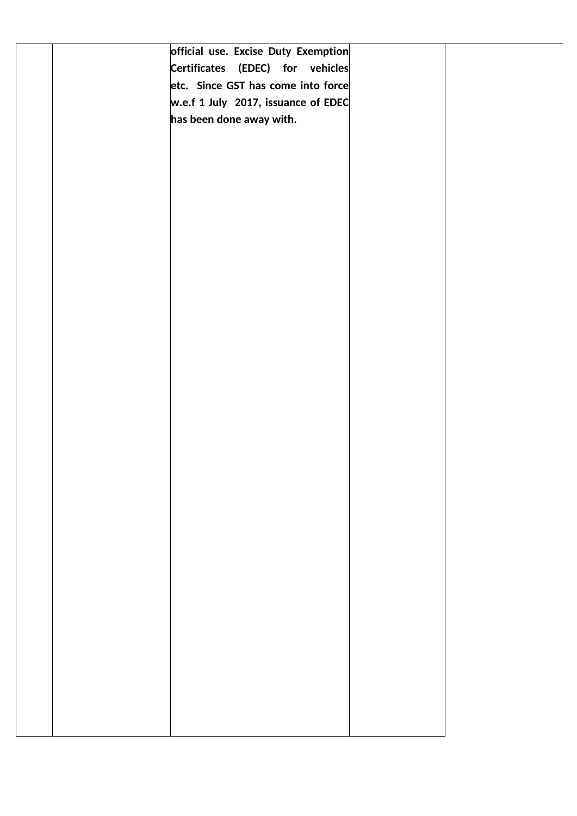|  | official use. Excise Duty Exemption      |  |
|--|------------------------------------------|--|
|  | Certificates (EDEC) for vehicles         |  |
|  | etc. Since GST has come into force       |  |
|  | $w.e.f. 1 July. 2017, is suance of EDEC$ |  |
|  | has been done away with.                 |  |
|  |                                          |  |
|  |                                          |  |
|  |                                          |  |
|  |                                          |  |
|  |                                          |  |
|  |                                          |  |
|  |                                          |  |
|  |                                          |  |
|  |                                          |  |
|  |                                          |  |
|  |                                          |  |
|  |                                          |  |
|  |                                          |  |
|  |                                          |  |
|  |                                          |  |
|  |                                          |  |
|  |                                          |  |
|  |                                          |  |
|  |                                          |  |
|  |                                          |  |
|  |                                          |  |
|  |                                          |  |
|  |                                          |  |
|  |                                          |  |
|  |                                          |  |
|  |                                          |  |
|  |                                          |  |
|  |                                          |  |
|  |                                          |  |
|  |                                          |  |
|  |                                          |  |
|  |                                          |  |
|  |                                          |  |
|  |                                          |  |
|  |                                          |  |
|  |                                          |  |
|  |                                          |  |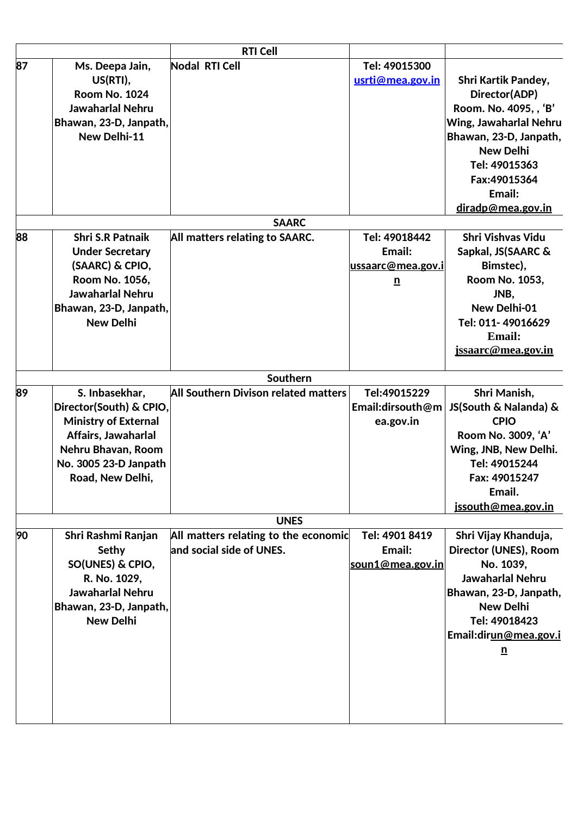|    |                             | <b>RTI Cell</b>                      |                         |                            |
|----|-----------------------------|--------------------------------------|-------------------------|----------------------------|
| 87 | Ms. Deepa Jain,             | <b>Nodal RTI Cell</b>                | Tel: 49015300           |                            |
|    | US(RTI),                    |                                      | usrti@mea.gov.in        | <b>Shri Kartik Pandey,</b> |
|    | <b>Room No. 1024</b>        |                                      |                         | Director(ADP)              |
|    | <b>Jawaharlal Nehru</b>     |                                      |                         | Room. No. 4095, , 'B'      |
|    | Bhawan, 23-D, Janpath,      |                                      |                         | Wing, Jawaharlal Nehru     |
|    | New Delhi-11                |                                      |                         | Bhawan, 23-D, Janpath,     |
|    |                             |                                      |                         | <b>New Delhi</b>           |
|    |                             |                                      |                         | Tel: 49015363              |
|    |                             |                                      |                         | Fax:49015364               |
|    |                             |                                      |                         | Email:                     |
|    |                             |                                      |                         | diradp@mea.gov.in          |
|    |                             | <b>SAARC</b>                         |                         |                            |
| 88 | <b>Shri S.R Patnaik</b>     | All matters relating to SAARC.       | Tel: 49018442           | <b>Shri Vishvas Vidu</b>   |
|    | <b>Under Secretary</b>      |                                      | Email:                  | Sapkal, JS(SAARC &         |
|    | (SAARC) & CPIO,             |                                      | ussaarc@mea.gov.i       | Bimstec),                  |
|    | Room No. 1056,              |                                      | $\overline{\mathbf{n}}$ | Room No. 1053,             |
|    | <b>Jawaharlal Nehru</b>     |                                      |                         | JNB,                       |
|    | Bhawan, 23-D, Janpath,      |                                      |                         | <b>New Delhi-01</b>        |
|    | <b>New Delhi</b>            |                                      |                         | Tel: 011-49016629          |
|    |                             |                                      |                         | Email:                     |
|    |                             |                                      |                         | jssaarc@mea.gov.in         |
|    |                             | Southern                             |                         |                            |
| 89 | S. Inbasekhar,              | All Southern Divison related matters | Tel:49015229            | Shri Manish,               |
|    | Director(South) & CPIO,     |                                      | Email:dirsouth@m        | JS(South & Nalanda) &      |
|    | <b>Ministry of External</b> |                                      | ea.gov.in               | <b>CPIO</b>                |
|    | Affairs, Jawaharlal         |                                      |                         | Room No. 3009, 'A'         |
|    | Nehru Bhavan, Room          |                                      |                         | Wing, JNB, New Delhi.      |
|    | No. 3005 23-D Janpath       |                                      |                         | Tel: 49015244              |
|    | Road, New Delhi,            |                                      |                         | Fax: 49015247              |
|    |                             |                                      |                         | Email.                     |
|    |                             |                                      |                         | jssouth@mea.gov.in         |
|    |                             | <b>UNES</b>                          |                         |                            |
| 90 | Shri Rashmi Ranjan          | All matters relating to the economic | Tel: 4901 8419          | Shri Vijay Khanduja,       |
|    | Sethy                       | and social side of UNES.             | Email:                  | Director (UNES), Room      |
|    | SO(UNES) & CPIO,            |                                      | soun1@mea.gov.in        | No. 1039,                  |
|    | R. No. 1029,                |                                      |                         | <b>Jawaharlal Nehru</b>    |
|    | <b>Jawaharlal Nehru</b>     |                                      |                         | Bhawan, 23-D, Janpath,     |
|    | Bhawan, 23-D, Janpath,      |                                      |                         | <b>New Delhi</b>           |
|    | <b>New Delhi</b>            |                                      |                         | Tel: 49018423              |
|    |                             |                                      |                         | Email:dirun@mea.gov.i      |
|    |                             |                                      |                         | $\overline{\mathbf{n}}$    |
|    |                             |                                      |                         |                            |
|    |                             |                                      |                         |                            |
|    |                             |                                      |                         |                            |
|    |                             |                                      |                         |                            |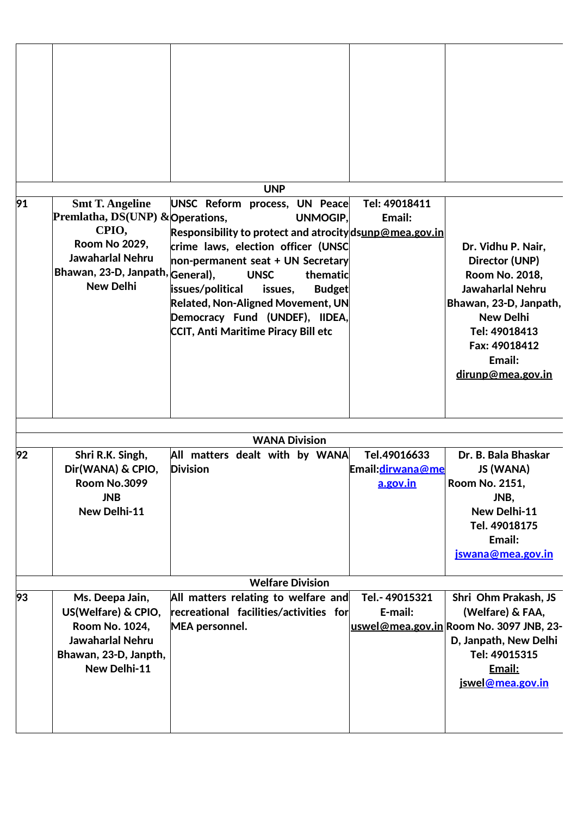|    |                                                                                                                                               | <b>UNP</b>                                                                                                                                                                                                                                                                                                                                                   |                                                      |                                                                                                                                                                                           |
|----|-----------------------------------------------------------------------------------------------------------------------------------------------|--------------------------------------------------------------------------------------------------------------------------------------------------------------------------------------------------------------------------------------------------------------------------------------------------------------------------------------------------------------|------------------------------------------------------|-------------------------------------------------------------------------------------------------------------------------------------------------------------------------------------------|
| 91 | <b>Smt T. Angeline</b>                                                                                                                        | UNSC Reform process, UN Peace                                                                                                                                                                                                                                                                                                                                | Tel: 49018411                                        |                                                                                                                                                                                           |
|    | Premlatha, DS(UNP) & Operations,<br>CPIO,<br><b>Room No 2029,</b><br>Jawaharlal Nehru<br>Bhawan, 23-D, Janpath, General),<br><b>New Delhi</b> | <b>UNMOGIP.</b><br>Responsibility to protect and atrocity dsunp@mea.gov.in<br>crime laws, election officer (UNSC<br>non-permanent seat + UN Secretary<br>thematic<br><b>UNSC</b><br>issues/political<br><b>Budget</b><br>issues,<br><b>Related, Non-Aligned Movement, UN</b><br>Democracy Fund (UNDEF), IIDEA,<br><b>CCIT, Anti Maritime Piracy Bill etc</b> | Email:                                               | Dr. Vidhu P. Nair,<br>Director (UNP)<br>Room No. 2018,<br>Jawaharlal Nehru<br>Bhawan, 23-D, Janpath,<br><b>New Delhi</b><br>Tel: 49018413<br>Fax: 49018412<br>Email:<br>dirunp@mea.gov.in |
|    |                                                                                                                                               | <b>WANA Division</b>                                                                                                                                                                                                                                                                                                                                         |                                                      |                                                                                                                                                                                           |
| 92 | Shri R.K. Singh,<br>Dir(WANA) & CPIO,<br>Room No.3099<br><b>JNB</b><br>New Delhi-11                                                           | All matters dealt with by WANA<br><b>Division</b>                                                                                                                                                                                                                                                                                                            | Tel.49016633<br>Email: dirwana@me<br><u>a.gov.in</u> | Dr. B. Bala Bhaskar<br>JS (WANA)<br>Room No. 2151,<br>JNB,<br>New Delhi-11<br>Tel. 49018175<br>Email:<br>jswana@mea.gov.in                                                                |
|    |                                                                                                                                               | <b>Welfare Division</b>                                                                                                                                                                                                                                                                                                                                      |                                                      |                                                                                                                                                                                           |
| 93 | Ms. Deepa Jain,<br>US(Welfare) & CPIO,<br>Room No. 1024,<br><b>Jawaharlal Nehru</b><br>Bhawan, 23-D, Janpth,<br>New Delhi-11                  | All matters relating to welfare and<br>recreational facilities/activities for<br>MEA personnel.                                                                                                                                                                                                                                                              | Tel.-49015321<br>E-mail:                             | Shri Ohm Prakash, JS<br>(Welfare) & FAA,<br>uswel@mea.gov.in Room No. 3097 JNB, 23-<br>D, Janpath, New Delhi<br>Tel: 49015315<br>Email:<br>jswel@mea.gov.in                               |